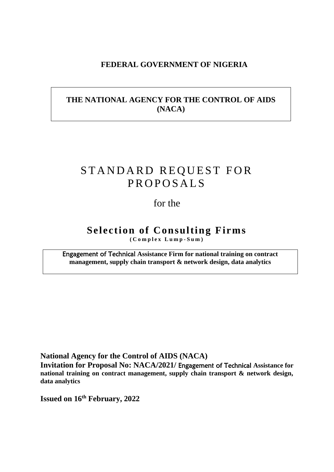## **FEDERAL GOVERNMENT OF NIGERIA**

## **THE NATIONAL AGENCY FOR THE CONTROL OF AIDS (NACA)**

# STANDARD REQUEST FOR **PROPOSALS**

## for the

## **Selection of Consulting Firms ( C o m p l e x L u m p - S u m )**

Engagement of Technical **Assistance Firm for national training on contract management, supply chain transport & network design, data analytics**

**National Agency for the Control of AIDS (NACA)**

**Invitation for Proposal No: NACA/2021/** Engagement of Technical **Assistance for national training on contract management, supply chain transport & network design, data analytics**

**Issued on 16th February, 2022**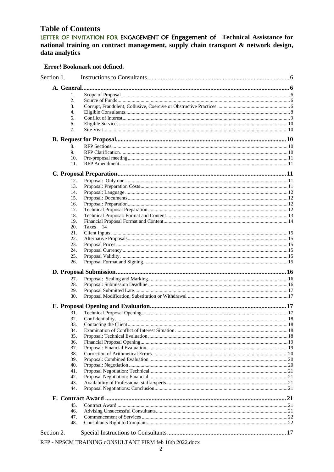## **Table of Contents**

LETTER OF INVITATION FOR ENGAGEMENT OF Engagement of Technical Assistance for national training on contract management, supply chain transport & network design, data analytics

#### Error! Bookmark not defined.

| Section 1. |            |          |  |
|------------|------------|----------|--|
|            |            |          |  |
|            | 1.         |          |  |
|            | 2.         |          |  |
|            | 3.         |          |  |
|            | 4.         |          |  |
|            | 5.         |          |  |
|            | 6.         |          |  |
|            | 7.         |          |  |
|            |            |          |  |
|            | 8.         |          |  |
|            | 9.         |          |  |
|            | 10.        |          |  |
|            | 11.        |          |  |
|            |            |          |  |
|            | 12.        |          |  |
|            | 13.        |          |  |
|            | 14.        |          |  |
|            | 15.        |          |  |
|            | 16.        |          |  |
|            | 17.        |          |  |
|            | 18.        |          |  |
|            | 19.        |          |  |
|            | 20.        | Taxes 14 |  |
|            | 21.        |          |  |
|            | 22.        |          |  |
|            | 23.        |          |  |
|            | 24.        |          |  |
|            | 25.        |          |  |
|            | 26.        |          |  |
|            |            |          |  |
|            | 27.        |          |  |
|            | 28.        |          |  |
|            | 29.        |          |  |
|            | 30.        |          |  |
|            |            |          |  |
|            | 31.        |          |  |
|            | 32.        |          |  |
|            | 33.        |          |  |
|            | 34.        |          |  |
|            | 35.        |          |  |
|            | 36.        |          |  |
|            | 37.        |          |  |
|            | 38.        |          |  |
|            | 39.        |          |  |
|            | 40.        |          |  |
|            | 41.        |          |  |
|            | 42.        |          |  |
|            | 43.<br>44. |          |  |
|            |            |          |  |
|            | 45.        |          |  |
|            | 46.        |          |  |
|            | 47.        |          |  |
|            | 48.        |          |  |
| Section 2. |            |          |  |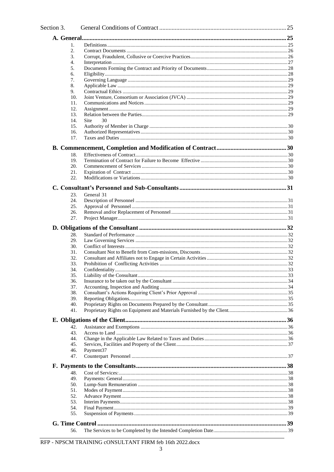| Section 3. |                                     |  |
|------------|-------------------------------------|--|
|            |                                     |  |
| 1.         |                                     |  |
| 2.         |                                     |  |
| 3.         |                                     |  |
| 4.         |                                     |  |
| 5.         |                                     |  |
| 6.         |                                     |  |
| 7.         |                                     |  |
| 8.         |                                     |  |
| 9.         |                                     |  |
|            | 10.                                 |  |
|            | 11.                                 |  |
|            | 12.                                 |  |
|            | 13.<br>30                           |  |
|            | 14.<br><b>Site</b><br>15.           |  |
|            | 16.                                 |  |
|            | 17.                                 |  |
|            |                                     |  |
|            | 18.                                 |  |
|            | 19.                                 |  |
|            | 20.                                 |  |
|            | 21.                                 |  |
|            | 22.                                 |  |
|            |                                     |  |
|            | 23.<br>General 31                   |  |
|            | 24.                                 |  |
|            | 25.                                 |  |
|            | 26.                                 |  |
|            | 27.                                 |  |
|            |                                     |  |
|            | 28.                                 |  |
|            | 29.                                 |  |
|            | 30.                                 |  |
|            | 31.                                 |  |
|            | 32.                                 |  |
|            | 33.                                 |  |
|            | 34.                                 |  |
|            | 35.                                 |  |
|            | 36.                                 |  |
|            | 37.                                 |  |
|            | 38.                                 |  |
|            | 39.                                 |  |
|            | 40.                                 |  |
|            | 41.                                 |  |
|            |                                     |  |
|            | 42.                                 |  |
|            | 43.                                 |  |
|            | 44.                                 |  |
|            | 45.                                 |  |
|            | 46.<br>Payment <sub>37</sub><br>47. |  |
|            |                                     |  |
|            |                                     |  |
|            | 48.                                 |  |
|            | 49.                                 |  |
|            | 50.                                 |  |
|            | 51.<br>52.                          |  |
|            | 53.                                 |  |
|            | 54.                                 |  |
|            | 55.                                 |  |
|            |                                     |  |
|            |                                     |  |
|            | 56.                                 |  |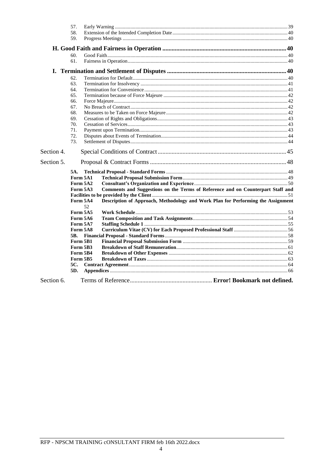|            | 57.            |                                                                                  |  |
|------------|----------------|----------------------------------------------------------------------------------|--|
|            | 58.            |                                                                                  |  |
|            | 59.            |                                                                                  |  |
|            |                |                                                                                  |  |
|            | 60.            |                                                                                  |  |
|            | 61.            |                                                                                  |  |
|            |                |                                                                                  |  |
|            | 62.            |                                                                                  |  |
|            | 63.            |                                                                                  |  |
|            | 64.            |                                                                                  |  |
|            | 65.            |                                                                                  |  |
|            | 66.            |                                                                                  |  |
|            | 67.            |                                                                                  |  |
|            | 68.            |                                                                                  |  |
|            | 69.            |                                                                                  |  |
|            | 70.            |                                                                                  |  |
|            | 71.            |                                                                                  |  |
|            | 72.            |                                                                                  |  |
|            | 73.            |                                                                                  |  |
| Section 4. |                |                                                                                  |  |
| Section 5. |                |                                                                                  |  |
|            | 5A.            |                                                                                  |  |
|            | Form 5A1       |                                                                                  |  |
|            | Form 5A2       |                                                                                  |  |
|            | Form 5A3       | Comments and Suggestions on the Terms of Reference and on Counterpart Staff and  |  |
|            |                |                                                                                  |  |
|            | Form 5A4<br>52 | Description of Approach, Methodology and Work Plan for Performing the Assignment |  |
|            | Form 5A5       |                                                                                  |  |
|            | Form 5A6       |                                                                                  |  |
|            | Form 5A7       |                                                                                  |  |
|            | Form 5A8       |                                                                                  |  |
|            | 5B.            |                                                                                  |  |
|            | Form 5B1       |                                                                                  |  |
|            | Form 5B3       |                                                                                  |  |
|            | Form 5B4       |                                                                                  |  |
|            | Form 5B5       |                                                                                  |  |
|            | 5C.            |                                                                                  |  |
|            | 5D.            |                                                                                  |  |
| Section 6. |                |                                                                                  |  |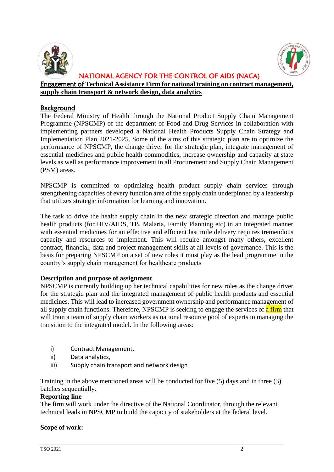



#### NATIONAL AGENCY FOR THE CONTROL OF AIDS (NACA) Engagement of **Technical Assistance Firm for national training on contract management, supply chain transport & network design, data analytics**

## **Background**

The Federal Ministry of Health through the National Product Supply Chain Management Programme (NPSCMP) of the department of Food and Drug Services in collaboration with implementing partners developed a National Health Products Supply Chain Strategy and Implementation Plan 2021-2025. Some of the aims of this strategic plan are to optimize the performance of NPSCMP, the change driver for the strategic plan, integrate management of essential medicines and public health commodities, increase ownership and capacity at state levels as well as performance improvement in all Procurement and Supply Chain Management (PSM) areas.

NPSCMP is committed to optimizing health product supply chain services through strengthening capacities of every function area of the supply chain underpinned by a leadership that utilizes strategic information for learning and innovation.

The task to drive the health supply chain in the new strategic direction and manage public health products (for HIV/AIDS, TB, Malaria, Family Planning etc) in an integrated manner with essential medicines for an effective and efficient last mile delivery requires tremendous capacity and resources to implement. This will require amongst many others, excellent contract, financial, data and project management skills at all levels of governance. This is the basis for preparing NPSCMP on a set of new roles it must play as the lead programme in the country's supply chain management for healthcare products

#### **Description and purpose of assignment**

NPSCMP is currently building up her technical capabilities for new roles as the change driver for the strategic plan and the integrated management of public health products and essential medicines. This will lead to increased government ownership and performance management of all supply chain functions. Therefore, NPSCMP is seeking to engage the services of a firm that will train a team of supply chain workers as national resource pool of experts in managing the transition to the integrated model. In the following areas:

- i) Contract Management,
- ii) Data analytics,
- iii) Supply chain transport and network design

Training in the above mentioned areas will be conducted for five (5) days and in three (3) batches sequentially.

#### **Reporting line**

The firm will work under the directive of the National Coordinator, through the relevant technical leads in NPSCMP to build the capacity of stakeholders at the federal level.

#### **Scope of work:**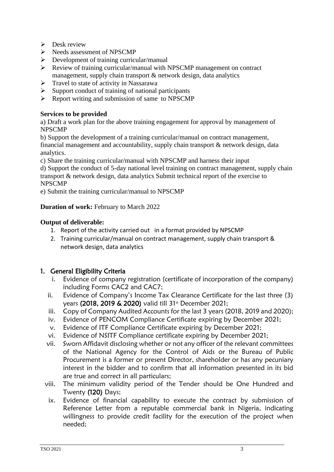- $\triangleright$  Desk review
- ➢ Needs assessment of NPSCMP
- $\triangleright$  Development of training curricular/manual
- ➢ Review of training curricular/manual with NPSCMP management on contract management, supply chain transport & network design, data analytics
- $\triangleright$  Travel to state of activity in Nassarawa
- $\triangleright$  Support conduct of training of national participants
- $\triangleright$  Report writing and submission of same to NPSCMP

### **Services to be provided**

a) Draft a work plan for the above training engagement for approval by management of NPSCMP

b) Support the development of a training curricular/manual on contract management, financial management and accountability, supply chain transport & network design, data analytics.

c) Share the training curricular/manual with NPSCMP and harness their input

d) Support the conduct of 5-day national level training on contract management, supply chain transport & network design, data analytics Submit technical report of the exercise to NPSCMP

e) Submit the training curricular/manual to NPSCMP

#### **Duration of work: February to March 2022**

#### **Output of deliverable:**

- 1. Report of the activity carried out in a format provided by NPSCMP
- 2. Training curricular/manual on contract management, supply chain transport & network design, data analytics

## 1. General Eligibility Criteria

- i. Evidence of company registration (certificate of incorporation of the company) including Forms CAC2 and CAC7;
- ii. Evidence of Company's Income Tax Clearance Certificate for the last three (3) years (2018, 2019 & 2020) valid till 31<sup>st</sup> December 2021;
- iii. Copy of Company Audited Accounts for the last 3 years (2018, 2019 and 2020);
- iv. Evidence of PENCOM Compliance Certificate expiring by December 2021;
- v. Evidence of ITF Compliance Certificate expiring by December 2021;
- vi. Evidence of NSITF Compliance certificate expiring by December 2021;
- vii. Sworn Affidavit disclosing whether or not any officer of the relevant committees of the National Agency for the Control of Aids or the Bureau of Public Procurement is a former or present Director, shareholder or has any pecuniary interest in the bidder and to confirm that all information presented in its bid are true and correct in all particulars;
- viii. The minimum validity period of the Tender should be One Hundred and Twenty (120) Days;
	- ix. Evidence of financial capability to execute the contract by submission of Reference Letter from a reputable commercial bank in Nigeria, indicating willingness to provide credit facility for the execution of the project when needed;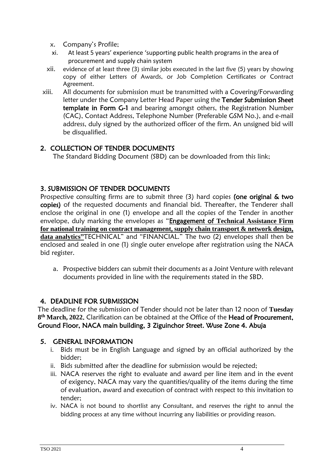- x. Company's Profile;
- xi. At least 5 years' experience 'supporting public health programs in the area of procurement and supply chain system
- xii. evidence of at least three (3) similar jobs executed in the last five (5) years by showing copy of either Letters of Awards, or Job Completion Certificates or Contract Agreement.
- xiii. All documents for submission must be transmitted with a Covering/Forwarding letter under the Company Letter Head Paper using the Tender Submission Sheet template in Form G-1 and bearing amongst others, the Registration Number (CAC), Contact Address, Telephone Number (Preferable GSM No.), and e-mail address, duly signed by the authorized officer of the firm. An unsigned bid will be disqualified.

## 2. COLLECTION OF TENDER DOCUMENTS

The Standard Bidding Document (SBD) can be downloaded from this link;

## 3. SUBMISSION OF TENDER DOCUMENTS

Prospective consulting firms are to submit three (3) hard copies (one original & two copies) of the requested documents and financial bid. Thereafter, the Tenderer shall enclose the original in one (1) envelope and all the copies of the Tender in another envelope, duly marking the envelopes as "Engagement of **Technical Assistance Firm for national training on contract management, supply chain transport & network design, data analytics"**TECHNICAL" and "FINANCIAL." The two (2) envelopes shall then be enclosed and sealed in one (1) single outer envelope after registration using the NACA bid register.

a. Prospective bidders can submit their documents as a Joint Venture with relevant documents provided in line with the requirements stated in the SBD.

## 4. DEADLINE FOR SUBMISSION

The deadline for the submission of Tender should not be later than 12 noon of **Tuesday 8 th March, 2022**. Clarification can be obtained at the Office of the Head of Procurement, Ground Floor, NACA main building, 3 Ziguinchor Street. Wuse Zone 4. Abuja

## 5. GENERAL INFORMATION

- i. Bids must be in English Language and signed by an official authorized by the bidder;
- ii. Bids submitted after the deadline for submission would be rejected;
- iii. NACA reserves the right to evaluate and award per line item and in the event of exigency, NACA may vary the quantities/quality of the items during the time of evaluation, award and execution of contract with respect to this invitation to tender;
- iv. NACA is not bound to shortlist any Consultant, and reserves the right to annul the bidding process at any time without incurring any liabilities or providing reason.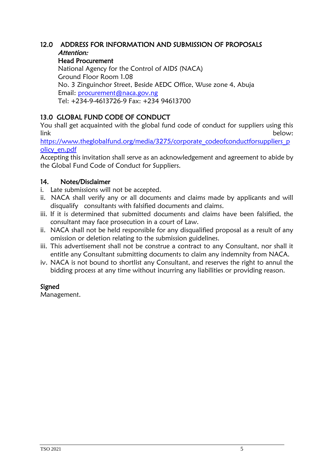## 12.0 ADDRESS FOR INFORMATION AND SUBMISSION OF PROPOSALS Attention:

Head Procurement

National Agency for the Control of AIDS (NACA) Ground Floor Room 1.08 No. 3 Zinguinchor Street, Beside AEDC Office, Wuse zone 4, Abuja Email: [procurement@naca.gov.ng](mailto:procurement@naca.gov.ng) Tel: +234-9-4613726-9 Fax: +234 94613700

## 13.0 GLOBAL FUND CODE OF CONDUCT

You shall get acquainted with the global fund code of conduct for suppliers using this link below:

[https://www.theglobalfund.org/media/3275/corporate\\_codeofconductforsuppliers\\_p](https://www.theglobalfund.org/media/3275/corporate_codeofconductforsuppliers_policy_en.pdf) [olicy\\_en.pdf](https://www.theglobalfund.org/media/3275/corporate_codeofconductforsuppliers_policy_en.pdf)

Accepting this invitation shall serve as an acknowledgement and agreement to abide by the Global Fund Code of Conduct for Suppliers.

## 14. Notes/Disclaimer

- i. Late submissions will not be accepted.
- ii. NACA shall verify any or all documents and claims made by applicants and will disqualify consultants with falsified documents and claims.
- iii. If it is determined that submitted documents and claims have been falsified, the consultant may face prosecution in a court of Law.
- ii. NACA shall not be held responsible for any disqualified proposal as a result of any omission or deletion relating to the submission guidelines.
- iii. This advertisement shall not be construe a contract to any Consultant, nor shall it entitle any Consultant submitting documents to claim any indemnity from NACA.
- iv. NACA is not bound to shortlist any Consultant, and reserves the right to annul the bidding process at any time without incurring any liabilities or providing reason.

## Signed

Management.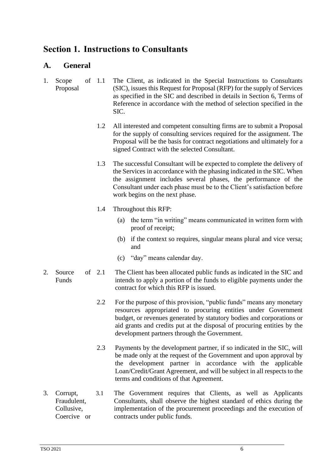## <span id="page-8-0"></span>**Section 1. Instructions to Consultants**

## <span id="page-8-1"></span>**A. General**

- <span id="page-8-2"></span>1. Scope of Proposal The Client, as indicated in the Special Instructions to Consultants (SIC), issues this Request for Proposal (RFP) for the supply of Services as specified in the SIC and described in details in Section 6, Terms of Reference in accordance with the method of selection specified in the SIC.
	- 1.2 All interested and competent consulting firms are to submit a Proposal for the supply of consulting services required for the assignment. The Proposal will be the basis for contract negotiations and ultimately for a signed Contract with the selected Consultant.
	- 1.3 The successful Consultant will be expected to complete the delivery of the Services in accordance with the phasing indicated in the SIC. When the assignment includes several phases, the performance of the Consultant under each phase must be to the Client's satisfaction before work begins on the next phase.
	- 1.4 Throughout this RFP:
		- (a) the term "in writing" means communicated in written form with proof of receipt;
		- (b) if the context so requires, singular means plural and vice versa; and
		- (c) "day" means calendar day.
- <span id="page-8-3"></span>2. Source of 2.1 Funds The Client has been allocated public funds as indicated in the SIC and intends to apply a portion of the funds to eligible payments under the contract for which this RFP is issued.
	- 2.2 For the purpose of this provision, "public funds" means any monetary resources appropriated to procuring entities under Government budget, or revenues generated by statutory bodies and corporations or aid grants and credits put at the disposal of procuring entities by the development partners through the Government.
	- 2.3 Payments by the development partner, if so indicated in the SIC, will be made only at the request of the Government and upon approval by the development partner in accordance with the applicable Loan/Credit/Grant Agreement, and will be subject in all respects to the terms and conditions of that Agreement.
- <span id="page-8-4"></span>3. Corrupt, Fraudulent, Collusive, Coercive or 3.1 The Government requires that Clients, as well as Applicants Consultants, shall observe the highest standard of ethics during the implementation of the procurement proceedings and the execution of contracts under public funds.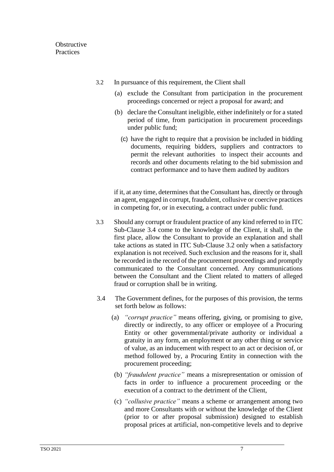- 3.2 In pursuance of this requirement, the Client shall
	- (a) exclude the Consultant from participation in the procurement proceedings concerned or reject a proposal for award; and
	- (b) declare the Consultant ineligible, either indefinitely or for a stated period of time, from participation in procurement proceedings under public fund;
		- (c) have the right to require that a provision be included in bidding documents, requiring bidders, suppliers and contractors to permit the relevant authorities to inspect their accounts and records and other documents relating to the bid submission and contract performance and to have them audited by auditors

if it, at any time, determines that the Consultant has, directly or through an agent, engaged in corrupt, fraudulent, collusive or coercive practices in competing for, or in executing, a contract under public fund.

- 3.3 Should any corrupt or fraudulent practice of any kind referred to in ITC Sub-Clause 3.4 come to the knowledge of the Client, it shall, in the first place, allow the Consultant to provide an explanation and shall take actions as stated in ITC Sub-Clause 3.2 only when a satisfactory explanation is not received. Such exclusion and the reasons for it, shall be recorded in the record of the procurement proceedings and promptly communicated to the Consultant concerned. Any communications between the Consultant and the Client related to matters of alleged fraud or corruption shall be in writing.
- 3.4 The Government defines, for the purposes of this provision, the terms set forth below as follows:
	- (a) *"corrupt practice"* means offering, giving, or promising to give, directly or indirectly, to any officer or employee of a Procuring Entity or other governmental/private authority or individual a gratuity in any form, an employment or any other thing or service of value, as an inducement with respect to an act or decision of, or method followed by, a Procuring Entity in connection with the procurement proceeding;
	- (b) *"fraudulent practice"* means a misrepresentation or omission of facts in order to influence a procurement proceeding or the execution of a contract to the detriment of the Client,
	- (c) *"collusive practice"* means a scheme or arrangement among two and more Consultants with or without the knowledge of the Client (prior to or after proposal submission) designed to establish proposal prices at artificial, non-competitive levels and to deprive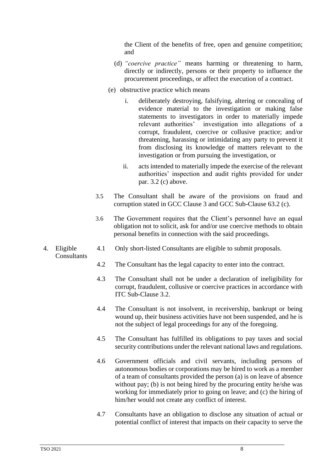the Client of the benefits of free, open and genuine competition; and

- (d) *"coercive practice"* means harming or threatening to harm, directly or indirectly, persons or their property to influence the procurement proceedings, or affect the execution of a contract.
- (e) obstructive practice which means
	- i. deliberately destroying, falsifying, altering or concealing of evidence material to the investigation or making false statements to investigators in order to materially impede relevant authorities' investigation into allegations of a corrupt, fraudulent, coercive or collusive practice; and/or threatening, harassing or intimidating any party to prevent it from disclosing its knowledge of matters relevant to the investigation or from pursuing the investigation, or
	- ii. acts intended to materially impede the exercise of the relevant authorities' inspection and audit rights provided for under par. 3.2 (c) above.
- 3.5 The Consultant shall be aware of the provisions on fraud and corruption stated in GCC Clause 3 and GCC Sub-Clause 63.2 (c).
- 3.6 The Government requires that the Client's personnel have an equal obligation not to solicit, ask for and/or use coercive methods to obtain personal benefits in connection with the said proceedings.
- <span id="page-10-0"></span>4. Eligible **Consultants** 4.1 Only short-listed Consultants are eligible to submit proposals.
	- 4.2 The Consultant has the legal capacity to enter into the contract.
	- 4.3 The Consultant shall not be under a declaration of ineligibility for corrupt, fraudulent, collusive or coercive practices in accordance with ITC Sub-Clause 3.2.
	- 4.4 The Consultant is not insolvent, in receivership, bankrupt or being wound up, their business activities have not been suspended, and he is not the subject of legal proceedings for any of the foregoing.
	- 4.5 The Consultant has fulfilled its obligations to pay taxes and social security contributions under the relevant national laws and regulations.
	- 4.6 Government officials and civil servants, including persons of autonomous bodies or corporations may be hired to work as a member of a team of consultants provided the person (a) is on leave of absence without pay; (b) is not being hired by the procuring entity he/she was working for immediately prior to going on leave; and (c) the hiring of him/her would not create any conflict of interest.
	- 4.7 Consultants have an obligation to disclose any situation of actual or potential conflict of interest that impacts on their capacity to serve the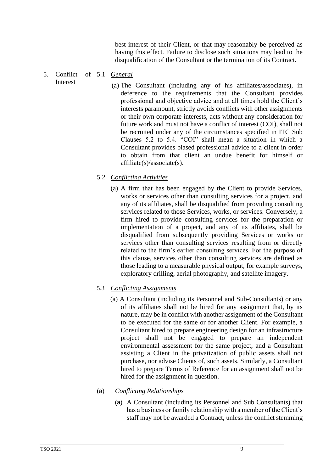best interest of their Client, or that may reasonably be perceived as having this effect. Failure to disclose such situations may lead to the disqualification of the Consultant or the termination of its Contract.

#### <span id="page-11-0"></span>5. Conflict Interest 5.1 *General*

(a) The Consultant (including any of his affiliates/associates), in deference to the requirements that the Consultant provides professional and objective advice and at all times hold the Client's interests paramount, strictly avoids conflicts with other assignments or their own corporate interests, acts without any consideration for future work and must not have a conflict of interest (COI), shall not be recruited under any of the circumstances specified in ITC Sub Clauses 5.2 to 5.4. "COI" shall mean a situation in which a Consultant provides biased professional advice to a client in order to obtain from that client an undue benefit for himself or affiliate(s)/associate(s).

### 5.2 *Conflicting Activities*

(a) A firm that has been engaged by the Client to provide Services, works or services other than consulting services for a project, and any of its affiliates, shall be disqualified from providing consulting services related to those Services, works, or services. Conversely, a firm hired to provide consulting services for the preparation or implementation of a project, and any of its affiliates, shall be disqualified from subsequently providing Services or works or services other than consulting services resulting from or directly related to the firm's earlier consulting services. For the purpose of this clause, services other than consulting services are defined as those leading to a measurable physical output, for example surveys, exploratory drilling, aerial photography, and satellite imagery.

#### 5.3 *Conflicting Assignments*

(a) A Consultant (including its Personnel and Sub-Consultants) or any of its affiliates shall not be hired for any assignment that, by its nature, may be in conflict with another assignment of the Consultant to be executed for the same or for another Client. For example, a Consultant hired to prepare engineering design for an infrastructure project shall not be engaged to prepare an independent environmental assessment for the same project, and a Consultant assisting a Client in the privatization of public assets shall not purchase, nor advise Clients of, such assets. Similarly, a Consultant hired to prepare Terms of Reference for an assignment shall not be hired for the assignment in question.

#### (a) *Conflicting Relationships*

(a) A Consultant (including its Personnel and Sub Consultants) that has a business or family relationship with a member of the Client's staff may not be awarded a Contract, unless the conflict stemming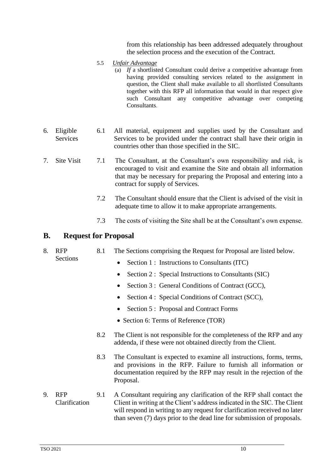from this relationship has been addressed adequately throughout the selection process and the execution of the Contract.

- 5.5 *Unfair Advantage* 
	- (a) *If* a shortlisted Consultant could derive a competitive advantage from having provided consulting services related to the assignment in question, the Client shall make available to all shortlisted Consultants together with this RFP all information that would in that respect give such Consultant any competitive advantage over competing Consultants.
- <span id="page-12-0"></span>6. Eligible Services 6.1 All material, equipment and supplies used by the Consultant and Services to be provided under the contract shall have their origin in countries other than those specified in the SIC.
- <span id="page-12-1"></span>7. Site Visit 7.1 The Consultant, at the Consultant's own responsibility and risk, is encouraged to visit and examine the Site and obtain all information that may be necessary for preparing the Proposal and entering into a contract for supply of Services.
	- 7.2 The Consultant should ensure that the Client is advised of the visit in adequate time to allow it to make appropriate arrangements.
	- 7.3 The costs of visiting the Site shall be at the Consultant's own expense.

### <span id="page-12-2"></span>**B. Request for Proposal**

- <span id="page-12-3"></span>8. RFP 8.1 The Sections comprising the Request for Proposal are listed below.
	- Sections
- Section 1 : Instructions to Consultants (ITC)
- Section 2 : Special Instructions to Consultants (SIC)
- Section 3 : General Conditions of Contract (GCC),
- Section 4 : Special Conditions of Contract (SCC),
- Section 5 : Proposal and Contract Forms
- Section 6: Terms of Reference (TOR)
- 8.2 The Client is not responsible for the completeness of the RFP and any addenda, if these were not obtained directly from the Client.
- 8.3 The Consultant is expected to examine all instructions, forms, terms, and provisions in the RFP. Failure to furnish all information or documentation required by the RFP may result in the rejection of the Proposal.
- <span id="page-12-4"></span>9. RFP Clarification 9.1 A Consultant requiring any clarification of the RFP shall contact the Client in writing at the Client's address indicated in the SIC. The Client will respond in writing to any request for clarification received no later than seven (7) days prior to the dead line for submission of proposals.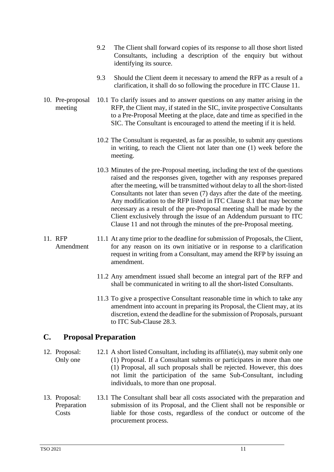- 9.2 The Client shall forward copies of its response to all those short listed Consultants, including a description of the enquiry but without identifying its source.
- 9.3 Should the Client deem it necessary to amend the RFP as a result of a clarification, it shall do so following the procedure in ITC Clause 11.
- <span id="page-13-0"></span>10. Pre-proposal meeting 10.1 To clarify issues and to answer questions on any matter arising in the RFP, the Client may, if stated in the SIC, invite prospective Consultants to a Pre-Proposal Meeting at the place, date and time as specified in the SIC. The Consultant is encouraged to attend the meeting if it is held.
	- 10.2 The Consultant is requested, as far as possible, to submit any questions in writing, to reach the Client not later than one (1) week before the meeting.
	- 10.3 Minutes of the pre-Proposal meeting, including the text of the questions raised and the responses given, together with any responses prepared after the meeting, will be transmitted without delay to all the short-listed Consultants not later than seven (7) days after the date of the meeting. Any modification to the RFP listed in ITC Clause 8.1 that may become necessary as a result of the pre-Proposal meeting shall be made by the Client exclusively through the issue of an Addendum pursuant to ITC Clause 11 and not through the minutes of the pre-Proposal meeting.
- <span id="page-13-1"></span>11. RFP Amendment 11.1 At any time prior to the deadline for submission of Proposals, the Client, for any reason on its own initiative or in response to a clarification request in writing from a Consultant, may amend the RFP by issuing an amendment.
	- 11.2 Any amendment issued shall become an integral part of the RFP and shall be communicated in writing to all the short-listed Consultants.
	- 11.3 To give a prospective Consultant reasonable time in which to take any amendment into account in preparing its Proposal, the Client may, at its discretion, extend the deadline for the submission of Proposals, pursuant to ITC Sub-Clause 28.3.

## <span id="page-13-2"></span>**C. Proposal Preparation**

- <span id="page-13-3"></span>12. Proposal: Only one 12.1 A short listed Consultant, including its affiliate(s), may submit only one (1) Proposal. If a Consultant submits or participates in more than one (1) Proposal, all such proposals shall be rejected. However, this does not limit the participation of the same Sub-Consultant, including individuals, to more than one proposal.
- <span id="page-13-4"></span>13. Proposal: Preparation Costs 13.1 The Consultant shall bear all costs associated with the preparation and submission of its Proposal, and the Client shall not be responsible or liable for those costs, regardless of the conduct or outcome of the procurement process.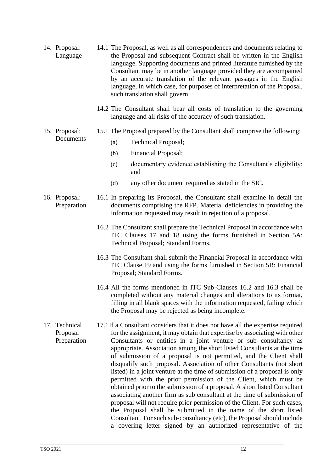- <span id="page-14-0"></span>14. Proposal: Language 14.1 The Proposal, as well as all correspondences and documents relating to the Proposal and subsequent Contract shall be written in the English language. Supporting documents and printed literature furnished by the Consultant may be in another language provided they are accompanied by an accurate translation of the relevant passages in the English language, in which case, for purposes of interpretation of the Proposal, such translation shall govern.
	- 14.2 The Consultant shall bear all costs of translation to the governing language and all risks of the accuracy of such translation.
- <span id="page-14-1"></span>15. Proposal: Documents 15.1 The Proposal prepared by the Consultant shall comprise the following:
	- (a) Technical Proposal;
	- (b) Financial Proposal;
	- (c) documentary evidence establishing the Consultant's eligibility; and
	- (d) any other document required as stated in the SIC.
- <span id="page-14-2"></span>16. Proposal: Preparation 16.1 In preparing its Proposal, the Consultant shall examine in detail the documents comprising the RFP. Material deficiencies in providing the information requested may result in rejection of a proposal.
	- 16.2 The Consultant shall prepare the Technical Proposal in accordance with ITC Clauses 17 and 18 using the forms furnished in Section 5A: Technical Proposal; Standard Forms.
	- 16.3 The Consultant shall submit the Financial Proposal in accordance with ITC Clause 19 and using the forms furnished in Section 5B: Financial Proposal; Standard Forms.
	- 16.4 All the forms mentioned in ITC Sub-Clauses 16.2 and 16.3 shall be completed without any material changes and alterations to its format, filling in all blank spaces with the information requested, failing which the Proposal may be rejected as being incomplete.
- <span id="page-14-3"></span>17. Technical Proposal Preparation 17.1If a Consultant considers that it does not have all the expertise required for the assignment, it may obtain that expertise by associating with other Consultants or entities in a joint venture or sub consultancy as appropriate. Association among the short listed Consultants at the time of submission of a proposal is not permitted, and the Client shall disqualify such proposal. Association of other Consultants (not short listed) in a joint venture at the time of submission of a proposal is only permitted with the prior permission of the Client, which must be obtained prior to the submission of a proposal. A short listed Consultant associating another firm as sub consultant at the time of submission of proposal will not require prior permission of the Client. For such cases, the Proposal shall be submitted in the name of the short listed Consultant. For such sub-consultancy (etc), the Proposal should include a covering letter signed by an authorized representative of the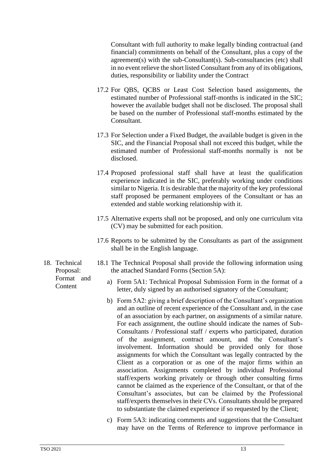Consultant with full authority to make legally binding contractual (and financial) commitments on behalf of the Consultant, plus a copy of the agreement(s) with the sub-Consultant(s). Sub-consultancies (etc) shall in no event relieve the short listed Consultant from any of its obligations, duties, responsibility or liability under the Contract

- 17.2 For QBS, QCBS or Least Cost Selection based assignments, the estimated number of Professional staff-months is indicated in the SIC; however the available budget shall not be disclosed. The proposal shall be based on the number of Professional staff-months estimated by the Consultant.
- 17.3 For Selection under a Fixed Budget, the available budget is given in the SIC, and the Financial Proposal shall not exceed this budget, while the estimated number of Professional staff-months normally is not be disclosed.
- 17.4 Proposed professional staff shall have at least the qualification experience indicated in the SIC, preferably working under conditions similar to Nigeria. It is desirable that the majority of the key professional staff proposed be permanent employees of the Consultant or has an extended and stable working relationship with it.
- 17.5 Alternative experts shall not be proposed, and only one curriculum vita (CV) may be submitted for each position.
- 17.6 Reports to be submitted by the Consultants as part of the assignment shall be in the English language.
- 18.1 The Technical Proposal shall provide the following information using the attached Standard Forms (Section 5A):
	- a) Form 5A1: Technical Proposal Submission Form in the format of a letter, duly signed by an authorised signatory of the Consultant;
	- b) Form 5A2: giving a brief description of the Consultant's organization and an outline of recent experience of the Consultant and, in the case of an association by each partner, on assignments of a similar nature. For each assignment, the outline should indicate the names of Sub-Consultants / Professional staff / experts who participated, duration of the assignment, contract amount, and the Consultant's involvement. Information should be provided only for those assignments for which the Consultant was legally contracted by the Client as a corporation or as one of the major firms within an association. Assignments completed by individual Professional staff/experts working privately or through other consulting firms cannot be claimed as the experience of the Consultant, or that of the Consultant's associates, but can be claimed by the Professional staff/experts themselves in their CVs. Consultants should be prepared to substantiate the claimed experience if so requested by the Client;
	- c) Form 5A3: indicating comments and suggestions that the Consultant may have on the Terms of Reference to improve performance in

<span id="page-15-0"></span>18. Technical Proposal: Format and **Content**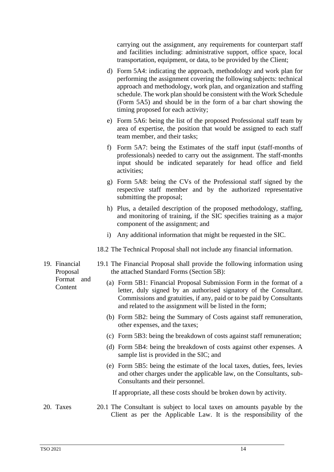carrying out the assignment, any requirements for counterpart staff and facilities including: administrative support, office space, local transportation, equipment, or data, to be provided by the Client;

- d) Form 5A4: indicating the approach, methodology and work plan for performing the assignment covering the following subjects: technical approach and methodology, work plan, and organization and staffing schedule. The work plan should be consistent with the Work Schedule (Form 5A5) and should be in the form of a bar chart showing the timing proposed for each activity;
- e) Form 5A6: being the list of the proposed Professional staff team by area of expertise, the position that would be assigned to each staff team member, and their tasks;
- f) Form 5A7: being the Estimates of the staff input (staff*-*months of professionals) needed to carry out the assignment. The staff-months input should be indicated separately for head office and field activities;
- g) Form 5A8: being the CVs of the Professional staff signed by the respective staff member and by the authorized representative submitting the proposal;
- h) Plus, a detailed description of the proposed methodology, staffing, and monitoring of training, if the SIC specifies training as a major component of the assignment; and
- i) Any additional information that might be requested in the SIC.
- 18.2 The Technical Proposal shall not include any financial information.
- 19.1 The Financial Proposal shall provide the following information using the attached Standard Forms (Section 5B):
	- (a) Form 5B1: Financial Proposal Submission Form in the format of a letter, duly signed by an authorised signatory of the Consultant. Commissions and gratuities, if any, paid or to be paid by Consultants and related to the assignment will be listed in the form;
	- (b) Form 5B2: being the Summary of Costs against staff remuneration, other expenses, and the taxes;
	- (c) Form 5B3: being the breakdown of costs against staff remuneration;
	- (d) Form 5B4: being the breakdown of costs against other expenses. A sample list is provided in the SIC; and
	- (e) Form 5B5: being the estimate of the local taxes, duties, fees, levies and other charges under the applicable law, on the Consultants, sub-Consultants and their personnel.

If appropriate, all these costs should be broken down by activity.

<span id="page-16-1"></span>20. Taxes 20.1 The Consultant is subject to local taxes on amounts payable by the Client as per the Applicable Law. It is the responsibility of the

<span id="page-16-0"></span>19. Financial Proposal Format and **Content**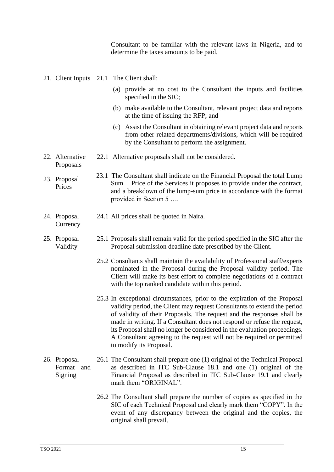Consultant to be familiar with the relevant laws in Nigeria, and to determine the taxes amounts to be paid.

<span id="page-17-0"></span>21. Client Inputs 21.1 The Client shall:

Proposals

**Currency** 

- (a) provide at no cost to the Consultant the inputs and facilities specified in the SIC;
- (b) make available to the Consultant, relevant project data and reports at the time of issuing the RFP; and
- (c) Assist the Consultant in obtaining relevant project data and reports from other related departments/divisions, which will be required by the Consultant to perform the assignment.
- <span id="page-17-1"></span>22. Alternative 22.1 Alternative proposals shall not be considered.
- <span id="page-17-2"></span>23. Proposal Prices 23.1 The Consultant shall indicate on the Financial Proposal the total Lump Sum Price of the Services it proposes to provide under the contract, and a breakdown of the lump-sum price in accordance with the format provided in Section 5 ….
- <span id="page-17-3"></span>24. Proposal 24.1 All prices shall be quoted in Naira.
- <span id="page-17-4"></span>25. Proposal Validity 25.1 Proposals shall remain valid for the period specified in the SIC after the Proposal submission deadline date prescribed by the Client.
	- 25.2 Consultants shall maintain the availability of Professional staff/experts nominated in the Proposal during the Proposal validity period. The Client will make its best effort to complete negotiations of a contract with the top ranked candidate within this period.
	- 25.3 In exceptional circumstances, prior to the expiration of the Proposal validity period, the Client may request Consultants to extend the period of validity of their Proposals. The request and the responses shall be made in writing. If a Consultant does not respond or refuse the request, its Proposal shall no longer be considered in the evaluation proceedings. A Consultant agreeing to the request will not be required or permitted to modify its Proposal.

#### <span id="page-17-5"></span>26. Proposal Format and Signing 26.1 The Consultant shall prepare one (1) original of the Technical Proposal as described in ITC Sub-Clause 18.1 and one (1) original of the Financial Proposal as described in ITC Sub-Clause 19.1 and clearly mark them "ORIGINAL".

26.2 The Consultant shall prepare the number of copies as specified in the SIC of each Technical Proposal and clearly mark them "COPY". In the event of any discrepancy between the original and the copies, the original shall prevail.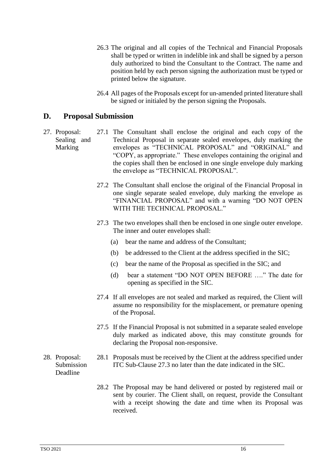- 26.3 The original and all copies of the Technical and Financial Proposals shall be typed or written in indelible ink and shall be signed by a person duly authorized to bind the Consultant to the Contract. The name and position held by each person signing the authorization must be typed or printed below the signature.
- 26.4 All pages of the Proposals except for un-amended printed literature shall be signed or initialed by the person signing the Proposals.

## <span id="page-18-0"></span>**D. Proposal Submission**

- <span id="page-18-1"></span>27. Proposal: Sealing and Marking 27.1 The Consultant shall enclose the original and each copy of the Technical Proposal in separate sealed envelopes, duly marking the envelopes as "TECHNICAL PROPOSAL" and "ORIGINAL" and "COPY, as appropriate." These envelopes containing the original and the copies shall then be enclosed in one single envelope duly marking the envelope as "TECHNICAL PROPOSAL".
	- 27.2 The Consultant shall enclose the original of the Financial Proposal in one single separate sealed envelope, duly marking the envelope as "FINANCIAL PROPOSAL" and with a warning "DO NOT OPEN WITH THE TECHNICAL PROPOSAL."
	- 27.3 The two envelopes shall then be enclosed in one single outer envelope. The inner and outer envelopes shall:
		- (a) bear the name and address of the Consultant;
		- (b) be addressed to the Client at the address specified in the SIC;
		- (c) bear the name of the Proposal as specified in the SIC; and
		- (d) bear a statement "DO NOT OPEN BEFORE …." The date for opening as specified in the SIC.
	- 27.4 If all envelopes are not sealed and marked as required, the Client will assume no responsibility for the misplacement, or premature opening of the Proposal.
	- 27.5 If the Financial Proposal is not submitted in a separate sealed envelope duly marked as indicated above, this may constitute grounds for declaring the Proposal non-responsive.
	- 28.1 Proposals must be received by the Client at the address specified under ITC Sub-Clause 27.3 no later than the date indicated in the SIC.
		- 28.2 The Proposal may be hand delivered or posted by registered mail or sent by courier. The Client shall, on request, provide the Consultant with a receipt showing the date and time when its Proposal was received.

#### <span id="page-18-2"></span>28. Proposal: Submission Deadline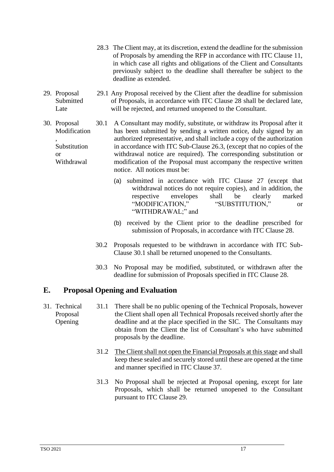- 28.3 The Client may, at its discretion, extend the deadline for the submission of Proposals by amending the RFP in accordance with ITC Clause 11, in which case all rights and obligations of the Client and Consultants previously subject to the deadline shall thereafter be subject to the deadline as extended.
- <span id="page-19-0"></span>29. Proposal **Submitted** Late 29.1 Any Proposal received by the Client after the deadline for submission of Proposals, in accordance with ITC Clause 28 shall be declared late, will be rejected, and returned unopened to the Consultant.
- <span id="page-19-1"></span>30. Proposal Modification , Substitution or Withdrawal 30.1 A Consultant may modify, substitute, or withdraw its Proposal after it has been submitted by sending a written notice, duly signed by an authorized representative, and shall include a copy of the authorization in accordance with ITC Sub-Clause 26.3, (except that no copies of the withdrawal notice are required). The corresponding substitution or modification of the Proposal must accompany the respective written notice. All notices must be:
	- (a) submitted in accordance with ITC Clause 27 (except that withdrawal notices do not require copies), and in addition, the respective envelopes shall be clearly marked "MODIFICATION," "SUBSTITUTION," or "WITHDRAWAL;" and
	- (b) received by the Client prior to the deadline prescribed for submission of Proposals, in accordance with ITC Clause 28.
	- 30.2 Proposals requested to be withdrawn in accordance with ITC Sub-Clause 30.1 shall be returned unopened to the Consultants.
	- 30.3 No Proposal may be modified, substituted, or withdrawn after the deadline for submission of Proposals specified in ITC Clause 28.

## <span id="page-19-2"></span>**E. Proposal Opening and Evaluation**

- <span id="page-19-3"></span>31. Technical Proposal Opening 31.1 There shall be no public opening of the Technical Proposals, however the Client shall open all Technical Proposals received shortly after the deadline and at the place specified in the SIC. The Consultants may obtain from the Client the list of Consultant's who have submitted proposals by the deadline.
	- 31.2 The Client shall not open the Financial Proposals at this stage and shall keep these sealed and securely stored until these are opened at the time and manner specified in ITC Clause 37.
	- 31.3 No Proposal shall be rejected at Proposal opening, except for late Proposals, which shall be returned unopened to the Consultant pursuant to ITC Clause 29.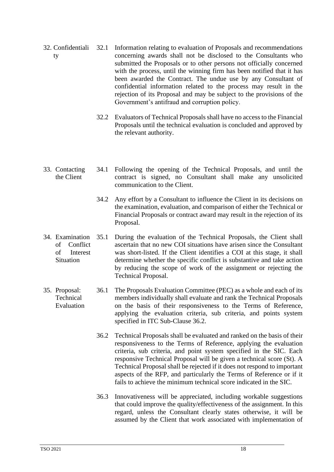- <span id="page-20-0"></span>32. Confidentiali ty 32.1 Information relating to evaluation of Proposals and recommendations concerning awards shall not be disclosed to the Consultants who submitted the Proposals or to other persons not officially concerned with the process, until the winning firm has been notified that it has been awarded the Contract. The undue use by any Consultant of confidential information related to the process may result in the rejection of its Proposal and may be subject to the provisions of the Government's antifraud and corruption policy.
	- 32.2 Evaluators of Technical Proposals shall have no access to the Financial Proposals until the technical evaluation is concluded and approved by the relevant authority.
- <span id="page-20-1"></span>33. Contacting the Client 34.1 Following the opening of the Technical Proposals, and until the contract is signed, no Consultant shall make any unsolicited communication to the Client.
	- 34.2 Any effort by a Consultant to influence the Client in its decisions on the examination, evaluation, and comparison of either the Technical or Financial Proposals or contract award may result in the rejection of its Proposal.
- <span id="page-20-2"></span>34. Examination of Conflict of Interest Situation 35.1 During the evaluation of the Technical Proposals, the Client shall ascertain that no new COI situations have arisen since the Consultant was short-listed. If the Client identifies a COI at this stage, it shall determine whether the specific conflict is substantive and take action by reducing the scope of work of the assignment or rejecting the Technical Proposal.
- <span id="page-20-3"></span>35. Proposal: **Technical** Evaluation 36.1 The Proposals Evaluation Committee (PEC) as a whole and each of its members individually shall evaluate and rank the Technical Proposals on the basis of their responsiveness to the Terms of Reference, applying the evaluation criteria, sub criteria, and points system specified in ITC Sub-Clause 36.2.
	- 36.2 Technical Proposals shall be evaluated and ranked on the basis of their responsiveness to the Terms of Reference, applying the evaluation criteria, sub criteria, and point system specified in the SIC. Each responsive Technical Proposal will be given a technical score (St). A Technical Proposal shall be rejected if it does not respond to important aspects of the RFP, and particularly the Terms of Reference or if it fails to achieve the minimum technical score indicated in the SIC.
	- 36.3 Innovativeness will be appreciated, including workable suggestions that could improve the quality/effectiveness of the assignment. In this regard, unless the Consultant clearly states otherwise, it will be assumed by the Client that work associated with implementation of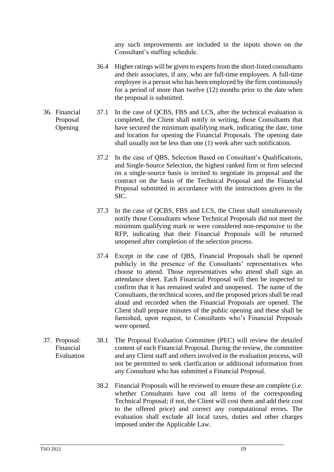any such improvements are included in the inputs shown on the Consultant's staffing schedule.

- 36.4 Higher ratings will be given to experts from the short-listed consultants and their associates, if any, who are full-time employees. A full-time employee is a person who has been employed by the firm continuously for a period of more than twelve (12) months prior to the date when the proposal is submitted.
- <span id="page-21-0"></span>36. Financial Proposal Opening 37.1 In the case of QCBS, FBS and LCS, after the technical evaluation is completed, the Client shall notify in writing, those Consultants that have secured the minimum qualifying mark, indicating the date, time and location for opening the Financial Proposals. The opening date shall usually not be less than one (1) week after such notification.
	- 37.2 In the case of QBS, Selection Based on Consultant's Qualifications, and Single-Source Selection*,* the highest ranked firm or firm selected on a single-source basis is invited to negotiate its proposal and the contract on the basis of the Technical Proposal and the Financial Proposal submitted in accordance with the instructions given in the SIC.
	- 37.3 In the case of QCBS, FBS and LCS, the Client shall simultaneously notify those Consultants whose Technical Proposals did not meet the minimum qualifying mark or were considered non-responsive to the RFP, indicating that their Financial Proposals will be returned unopened after completion of the selection process.
	- 37.4 Except in the case of QBS, Financial Proposals shall be opened publicly in the presence of the Consultants' representatives who choose to attend. Those representatives who attend shall sign an attendance sheet. Each Financial Proposal will then be inspected to confirm that it has remained sealed and unopened. The name of the Consultants, the technical scores, and the proposed prices shall be read aloud and recorded when the Financial Proposals are opened. The Client shall prepare minutes of the public opening and these shall be furnished, upon request, to Consultants who's Financial Proposals were opened.
- <span id="page-21-1"></span>37. Proposal: Financial Evaluation 38.1 The Proposal Evaluation Committee (PEC) will review the detailed content of each Financial Proposal. During the review, the committee and any Client staff and others involved in the evaluation process, will not be permitted to seek clarification or additional information from any Consultant who has submitted a Financial Proposal.
	- 38.2 Financial Proposals will be reviewed to ensure these are complete (i.e. whether Consultants have cost all items of the corresponding Technical Proposal; if not, the Client will cost them and add their cost to the offered price) and correct any computational errors. The evaluation shall exclude all local taxes, duties and other charges imposed under the Applicable Law.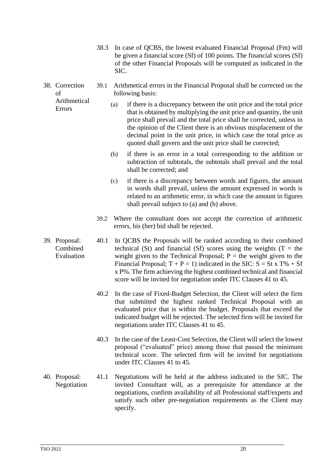- 38.3 In case of QCBS, the lowest evaluated Financial Proposal (Fm) will be given a financial score (Sf) of 100 points. The financial scores (Sf) of the other Financial Proposals will be computed as indicated in the SIC.
- <span id="page-22-0"></span>38. Correction  $\alpha$ f 39.1 Arithmetical errors in the Financial Proposal shall be corrected on the following basis:
	- Arithmetical Errors
		- (a) if there is a discrepancy between the unit price and the total price that is obtained by multiplying the unit price and quantity, the unit price shall prevail and the total price shall be corrected, unless in the opinion of the Client there is an obvious misplacement of the decimal point in the unit price, in which case the total price as quoted shall govern and the unit price shall be corrected;
			- (b) if there is an error in a total corresponding to the addition or subtraction of subtotals, the subtotals shall prevail and the total shall be corrected; and
			- (c) if there is a discrepancy between words and figures, the amount in words shall prevail, unless the amount expressed in words is related to an arithmetic error, in which case the amount in figures shall prevail subject to (a) and (b) above.
			- 39.2 Where the consultant does not accept the correction of arithmetic errors, his (her) bid shall be rejected.
- <span id="page-22-1"></span>39. Proposal: Combined Evaluation 40.1 In QCBS the Proposals will be ranked according to their combined technical (St) and financial (Sf) scores using the weights (T = the weight given to the Technical Proposal;  $P =$  the weight given to the Financial Proposal;  $T + P = 1$ ) indicated in the SIC:  $S = St \times T\% + Sf$ x P%. The firm achieving the highest combined technical and financial score will be invited for negotiation under ITC Clauses 41 to 45.
	- 40.2 In the case of Fixed-Budget Selection, the Client will select the firm that submitted the highest ranked Technical Proposal with an evaluated price that is within the budget. Proposals that exceed the indicated budget will be rejected. The selected firm will be invited for negotiations under ITC Clauses 41 to 45.
	- 40.3 In the case of the Least-Cost Selection, the Client will select the lowest proposal ("evaluated" price) among those that passed the minimum technical score. The selected firm will be invited for negotiations under ITC Clauses 41 to 45.
- <span id="page-22-2"></span>40. Proposal: Negotiation 41.1 Negotiations will be held at the address indicated in the SIC. The invited Consultant will, as a prerequisite for attendance at the negotiations, confirm availability of all Professional staff/experts and satisfy such other pre-negotiation requirements as the Client may specify.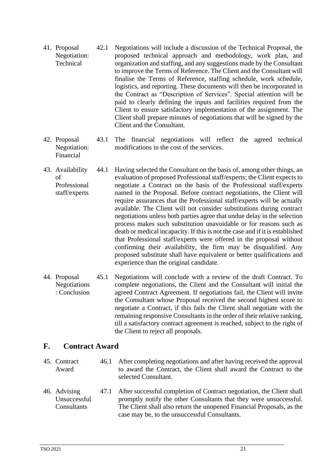- <span id="page-23-0"></span>41. Proposal Negotiation: **Technical** 42.1 Negotiations will include a discussion of the Technical Proposal, the proposed technical approach and methodology, work plan, and organization and staffing, and any suggestions made by the Consultant to improve the Terms of Reference. The Client and the Consultant will finalise the Terms of Reference, staffing schedule, work schedule, logistics, and reporting. These documents will then be incorporated in the Contract as "Description of Services". Special attention will be paid to clearly defining the inputs and facilities required from the Client to ensure satisfactory implementation of the assignment. The Client shall prepare minutes of negotiations that will be signed by the Client and the Consultant.
- <span id="page-23-1"></span>42. Proposal Negotiation: Financial 43.1 The financial negotiations will reflect the agreed technical modifications in the cost of the services.
- <span id="page-23-2"></span>43. Availability of Professional staff/experts 44.1 Having selected the Consultant on the basis of, among other things, an evaluation of proposed Professional staff/experts; the Client expects to negotiate a Contract on the basis of the Professional staff/experts named in the Proposal. Before contract negotiations, the Client will require assurances that the Professional staff/experts will be actually available. The Client will not consider substitutions during contract negotiations unless both parties agree that undue delay in the selection process makes such substitution unavoidable or for reasons such as death or medical incapacity. If this is not the case and if it is established that Professional staff/experts were offered in the proposal without confirming their availability, the firm may be disqualified. Any proposed substitute shall have equivalent or better qualifications and experience than the original candidate.
- <span id="page-23-3"></span>44. Proposal Negotiations : Conclusion 45.1 Negotiations will conclude with a review of the draft Contract. To complete negotiations, the Client and the Consultant will initial the agreed Contract Agreement. If negotiations fail, the Client will invite the Consultant whose Proposal received the second highest score to negotiate a Contract, if this fails the Client shall negotiate with the remaining responsive Consultants in the order of their relative ranking, till a satisfactory contract agreement is reached, subject to the right of the Client to reject all proposals.

## <span id="page-23-4"></span>**F. Contract Award**

- <span id="page-23-5"></span>45. Contract Award 46.1 After completing negotiations and after having received the approval to award the Contract, the Client shall award the Contract to the selected Consultant.
- <span id="page-23-6"></span>46. Advising Unsuccessful **Consultants** 47.1 After successful completion of Contract negotiation, the Client shall promptly notify the other Consultants that they were unsuccessful. The Client shall also return the unopened Financial Proposals, as the case may be, to the unsuccessful Consultants.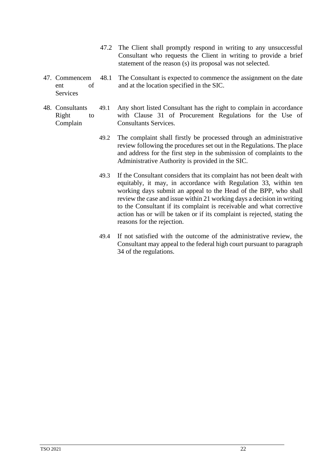- 47.2 The Client shall promptly respond in writing to any unsuccessful Consultant who requests the Client in writing to provide a brief statement of the reason (s) its proposal was not selected.
- <span id="page-24-0"></span>47. Commencem ent of **Services** 48.1 The Consultant is expected to commence the assignment on the date and at the location specified in the SIC.
- <span id="page-24-1"></span>48. Consultants Right to Complain 49.1 Any short listed Consultant has the right to complain in accordance with Clause 31 of Procurement Regulations for the Use of Consultants Services.
	- 49.2 The complaint shall firstly be processed through an administrative review following the procedures set out in the Regulations. The place and address for the first step in the submission of complaints to the Administrative Authority is provided in the SIC.
	- 49.3 If the Consultant considers that its complaint has not been dealt with equitably, it may, in accordance with Regulation 33, within ten working days submit an appeal to the Head of the BPP, who shall review the case and issue within 21 working days a decision in writing to the Consultant if its complaint is receivable and what corrective action has or will be taken or if its complaint is rejected, stating the reasons for the rejection.
	- 49.4 If not satisfied with the outcome of the administrative review, the Consultant may appeal to the federal high court pursuant to paragraph 34 of the regulations.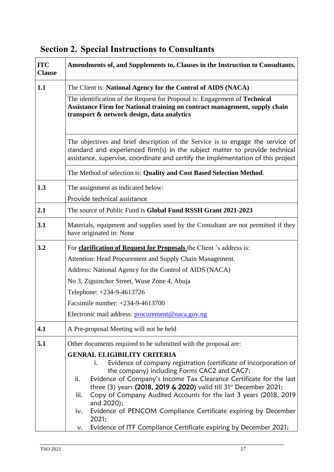| <b>ITC</b><br><b>Clause</b> | Amendments of, and Supplements to, Clauses in the Instruction to Consultants.                                                                                                                                                                                                                                                                                                                                                                                                                             |  |  |
|-----------------------------|-----------------------------------------------------------------------------------------------------------------------------------------------------------------------------------------------------------------------------------------------------------------------------------------------------------------------------------------------------------------------------------------------------------------------------------------------------------------------------------------------------------|--|--|
| 1.1                         | The Client is: National Agency for the Control of AIDS (NACA)                                                                                                                                                                                                                                                                                                                                                                                                                                             |  |  |
|                             | The identification of the Request for Proposal is: Engagement of Technical<br>Assistance Firm for National training on contract management, supply chain<br>transport & network design, data analytics                                                                                                                                                                                                                                                                                                    |  |  |
|                             | The objectives and brief description of the Service is to engage the service of<br>standard and experienced firm(s) in the subject matter to provide technical<br>assistance, supervise, coordinate and certify the implementation of this project                                                                                                                                                                                                                                                        |  |  |
|                             | The Method of selection is: Quality and Cost Based Selection Method.                                                                                                                                                                                                                                                                                                                                                                                                                                      |  |  |
| 1.3                         | The assignment as indicated below:                                                                                                                                                                                                                                                                                                                                                                                                                                                                        |  |  |
|                             | Provide technical assistance                                                                                                                                                                                                                                                                                                                                                                                                                                                                              |  |  |
| 2.1                         | The source of Public Fund is Global Fund RSSH Grant 2021-2023                                                                                                                                                                                                                                                                                                                                                                                                                                             |  |  |
| 3.1                         | Materials, equipment and supplies used by the Consultant are not permitted if they<br>have originated in: None                                                                                                                                                                                                                                                                                                                                                                                            |  |  |
| 3.2                         | For clarification of Request for Proposals the Client 's address is:                                                                                                                                                                                                                                                                                                                                                                                                                                      |  |  |
|                             | Attention: Head Procurement and Supply Chain Management.                                                                                                                                                                                                                                                                                                                                                                                                                                                  |  |  |
|                             | Address: National Agency for the Control of AIDS (NACA)                                                                                                                                                                                                                                                                                                                                                                                                                                                   |  |  |
|                             | No 3, Ziguinchor Street, Wuse Zone 4, Abuja                                                                                                                                                                                                                                                                                                                                                                                                                                                               |  |  |
|                             | Telephone: +234-9-4613726                                                                                                                                                                                                                                                                                                                                                                                                                                                                                 |  |  |
|                             | Facsimile number: +234-9-4613700                                                                                                                                                                                                                                                                                                                                                                                                                                                                          |  |  |
|                             | Electronic mail address: procurement@naca.gov.ng                                                                                                                                                                                                                                                                                                                                                                                                                                                          |  |  |
| 4.1                         | A Pre-proposal Meeting will not be held                                                                                                                                                                                                                                                                                                                                                                                                                                                                   |  |  |
| 5.1                         | Other documents required to be submitted with the proposal are:                                                                                                                                                                                                                                                                                                                                                                                                                                           |  |  |
|                             | <b>GENRAL ELIGIBILITY CRITERIA</b><br>Evidence of company registration (certificate of incorporation of<br>i.<br>the company) including Forms CAC2 and CAC7;<br>Evidence of Company's Income Tax Clearance Certificate for the last<br>ii.<br>three (3) years (2018, 2019 & 2020) valid till 31 <sup>st</sup> December 2021;<br>Copy of Company Audited Accounts for the last 3 years (2018, 2019<br>iii.<br>and 2020);<br>Evidence of PENCOM Compliance Certificate expiring by December<br>iv.<br>2021; |  |  |
|                             | Evidence of ITF Compliance Certificate expiring by December 2021;<br>ν.                                                                                                                                                                                                                                                                                                                                                                                                                                   |  |  |

# <span id="page-25-0"></span>**Section 2. Special Instructions to Consultants**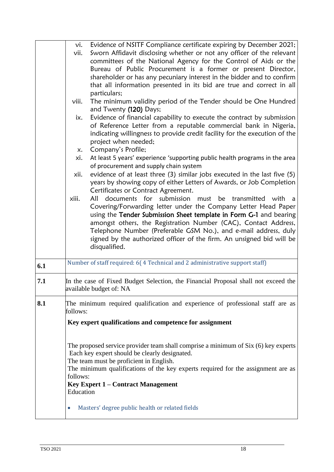|     | vi.       | Evidence of NSITF Compliance certificate expiring by December 2021;                      |
|-----|-----------|------------------------------------------------------------------------------------------|
|     | vii.      | Sworn Affidavit disclosing whether or not any officer of the relevant                    |
|     |           | committees of the National Agency for the Control of Aids or the                         |
|     |           | Bureau of Public Procurement is a former or present Director,                            |
|     |           | shareholder or has any pecuniary interest in the bidder and to confirm                   |
|     |           | that all information presented in its bid are true and correct in all                    |
|     |           | particulars;                                                                             |
|     | viii.     | The minimum validity period of the Tender should be One Hundred                          |
|     |           | and Twenty (120) Days;                                                                   |
|     | ix.       | Evidence of financial capability to execute the contract by submission                   |
|     |           | of Reference Letter from a reputable commercial bank in Nigeria,                         |
|     |           | indicating willingness to provide credit facility for the execution of the               |
|     |           | project when needed;<br>Company's Profile;                                               |
|     | x.<br>xi. | At least 5 years' experience 'supporting public health programs in the area              |
|     |           | of procurement and supply chain system                                                   |
|     | xii.      | evidence of at least three (3) similar jobs executed in the last five (5)                |
|     |           | years by showing copy of either Letters of Awards, or Job Completion                     |
|     |           | Certificates or Contract Agreement.                                                      |
|     | xiii.     | documents for submission<br>must be<br>All<br>transmitted<br>with a                      |
|     |           | Covering/Forwarding letter under the Company Letter Head Paper                           |
|     |           | using the Tender Submission Sheet template in Form G-1 and bearing                       |
|     |           | amongst others, the Registration Number (CAC), Contact Address,                          |
|     |           | Telephone Number (Preferable GSM No.), and e-mail address, duly                          |
|     |           | signed by the authorized officer of the firm. An unsigned bid will be                    |
|     |           | disqualified.                                                                            |
| 6.1 |           | Number of staff required: 6(4 Technical and 2 administrative support staff)              |
|     |           |                                                                                          |
| 7.1 |           | In the case of Fixed Budget Selection, the Financial Proposal shall not exceed the       |
|     |           | available budget of: NA                                                                  |
| 8.1 |           | The minimum required qualification and experience of professional staff are as           |
|     | follows:  |                                                                                          |
|     |           | Key expert qualifications and competence for assignment                                  |
|     |           |                                                                                          |
|     |           |                                                                                          |
|     |           | The proposed service provider team shall comprise a minimum of Six (6) key experts       |
|     |           | Each key expert should be clearly designated.<br>The team must be proficient in English. |
|     |           | The minimum qualifications of the key experts required for the assignment are as         |
|     | follows:  |                                                                                          |
|     |           | Key Expert 1 – Contract Management                                                       |
|     | Education |                                                                                          |
|     |           |                                                                                          |
|     | $\bullet$ | Masters' degree public health or related fields                                          |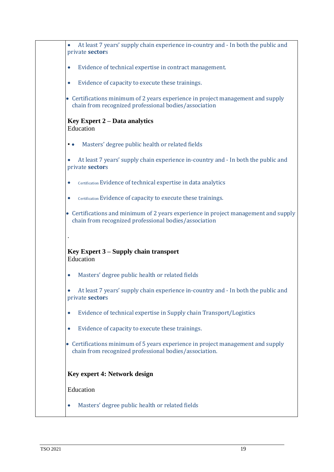|                     | At least 7 years' supply chain experience in-country and - In both the public and<br>private sectors                                         |
|---------------------|----------------------------------------------------------------------------------------------------------------------------------------------|
| $\bullet$           | Evidence of technical expertise in contract management.                                                                                      |
| $\bullet$           | Evidence of capacity to execute these trainings.                                                                                             |
|                     | • Certifications minimum of 2 years experience in project management and supply<br>chain from recognized professional bodies/association     |
|                     | <b>Key Expert 2 – Data analytics</b><br>Education                                                                                            |
| $\bullet$ $\bullet$ | Masters' degree public health or related fields                                                                                              |
|                     | At least 7 years' supply chain experience in-country and - In both the public and<br>private sectors                                         |
| $\bullet$           | Certification Evidence of technical expertise in data analytics                                                                              |
| $\bullet$           | Certification Evidence of capacity to execute these trainings.                                                                               |
|                     | • Certifications and minimum of 2 years experience in project management and supply<br>chain from recognized professional bodies/association |
|                     |                                                                                                                                              |
|                     | Key Expert 3 – Supply chain transport<br>Education                                                                                           |
| $\bullet$           | Masters' degree public health or related fields                                                                                              |
|                     | At least 7 years' supply chain experience in-country and - In both the public and<br>private sectors                                         |
| $\bullet$           |                                                                                                                                              |
|                     | Evidence of technical expertise in Supply chain Transport/Logistics                                                                          |
| $\bullet$           | Evidence of capacity to execute these trainings.                                                                                             |
|                     | • Certifications minimum of 5 years experience in project management and supply<br>chain from recognized professional bodies/association.    |
|                     | Key expert 4: Network design                                                                                                                 |
|                     | Education                                                                                                                                    |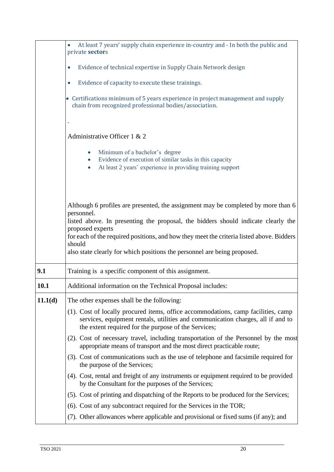|         | At least 7 years' supply chain experience in-country and - In both the public and<br>private sectors                                                                                                                         |  |  |
|---------|------------------------------------------------------------------------------------------------------------------------------------------------------------------------------------------------------------------------------|--|--|
|         |                                                                                                                                                                                                                              |  |  |
|         | Evidence of technical expertise in Supply Chain Network design<br>$\bullet$                                                                                                                                                  |  |  |
|         | Evidence of capacity to execute these trainings.<br>$\bullet$                                                                                                                                                                |  |  |
|         | • Certifications minimum of 5 years experience in project management and supply<br>chain from recognized professional bodies/association.                                                                                    |  |  |
|         |                                                                                                                                                                                                                              |  |  |
|         | Administrative Officer 1 & 2                                                                                                                                                                                                 |  |  |
|         | Minimum of a bachelor's degree<br>Evidence of execution of similar tasks in this capacity<br>$\bullet$<br>At least 2 years' experience in providing training support                                                         |  |  |
|         | Although 6 profiles are presented, the assignment may be completed by more than 6<br>personnel.<br>listed above. In presenting the proposal, the bidders should indicate clearly the                                         |  |  |
|         | proposed experts<br>for each of the required positions, and how they meet the criteria listed above. Bidders<br>should<br>also state clearly for which positions the personnel are being proposed.                           |  |  |
| 9.1     | Training is a specific component of this assignment.                                                                                                                                                                         |  |  |
| 10.1    | Additional information on the Technical Proposal includes:                                                                                                                                                                   |  |  |
| 11.1(d) | The other expenses shall be the following:                                                                                                                                                                                   |  |  |
|         | (1). Cost of locally procured items, office accommodations, camp facilities, camp<br>services, equipment rentals, utilities and communication charges, all if and to<br>the extent required for the purpose of the Services; |  |  |
|         | (2). Cost of necessary travel, including transportation of the Personnel by the most<br>appropriate means of transport and the most direct practicable route;                                                                |  |  |
|         | (3). Cost of communications such as the use of telephone and facsimile required for<br>the purpose of the Services;                                                                                                          |  |  |
|         | (4). Cost, rental and freight of any instruments or equipment required to be provided<br>by the Consultant for the purposes of the Services;                                                                                 |  |  |
|         | (5). Cost of printing and dispatching of the Reports to be produced for the Services;                                                                                                                                        |  |  |
|         | (6). Cost of any subcontract required for the Services in the TOR;                                                                                                                                                           |  |  |
|         | (7). Other allowances where applicable and provisional or fixed sums (if any); and                                                                                                                                           |  |  |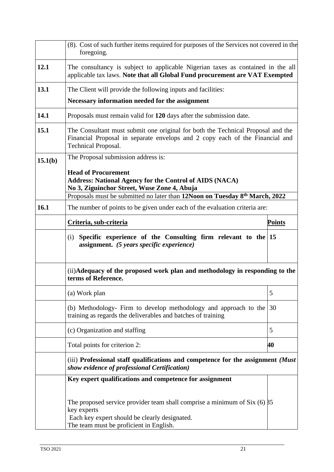|         | (8). Cost of such further items required for purposes of the Services not covered in the<br>foregoing.                                                                                        |               |  |
|---------|-----------------------------------------------------------------------------------------------------------------------------------------------------------------------------------------------|---------------|--|
| 12.1    | The consultancy is subject to applicable Nigerian taxes as contained in the all<br>applicable tax laws. Note that all Global Fund procurement are VAT Exempted                                |               |  |
| 13.1    | The Client will provide the following inputs and facilities:                                                                                                                                  |               |  |
|         | Necessary information needed for the assignment                                                                                                                                               |               |  |
| 14.1    | Proposals must remain valid for 120 days after the submission date.                                                                                                                           |               |  |
| 15.1    | The Consultant must submit one original for both the Technical Proposal and the<br>Financial Proposal in separate envelops and 2 copy each of the Financial and<br><b>Technical Proposal.</b> |               |  |
| 15.1(b) | The Proposal submission address is:                                                                                                                                                           |               |  |
|         | <b>Head of Procurement</b><br><b>Address: National Agency for the Control of AIDS (NACA)</b><br>No 3, Ziguinchor Street, Wuse Zone 4, Abuja                                                   |               |  |
|         | Proposals must be submitted no later than 12Noon on Tuesday 8 <sup>th</sup> March, 2022                                                                                                       |               |  |
| 16.1    | The number of points to be given under each of the evaluation criteria are:                                                                                                                   |               |  |
|         | Criteria, sub-criteria                                                                                                                                                                        | <u>Points</u> |  |
|         | Specific experience of the Consulting firm relevant to the $ 15\rangle$<br>(i)<br>assignment. (5 years specific experience)                                                                   |               |  |
|         | (ii) Adequacy of the proposed work plan and methodology in responding to the<br>terms of Reference.                                                                                           |               |  |
|         | (a) Work plan                                                                                                                                                                                 | 5             |  |
|         | (b) Methodology- Firm to develop methodology and approach to the<br>training as regards the deliverables and batches of training                                                              | 30            |  |
|         | (c) Organization and staffing                                                                                                                                                                 | 5             |  |
|         | Total points for criterion 2:                                                                                                                                                                 | 40            |  |
|         | (iii) Professional staff qualifications and competence for the assignment (Must<br>show evidence of professional Certification)                                                               |               |  |
|         | Key expert qualifications and competence for assignment                                                                                                                                       |               |  |
|         | The proposed service provider team shall comprise a minimum of Six $(6)$ $\beta$ 5<br>key experts<br>Each key expert should be clearly designated.<br>The team must be proficient in English. |               |  |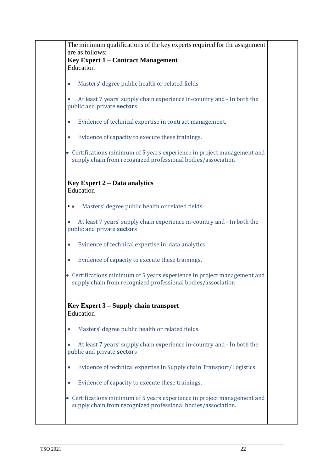| The minimum qualifications of the key experts required for the assignment                                                                 |
|-------------------------------------------------------------------------------------------------------------------------------------------|
| are as follows:                                                                                                                           |
| Key Expert 1 – Contract Management<br>Education                                                                                           |
|                                                                                                                                           |
| Masters' degree public health or related fields<br>$\bullet$                                                                              |
| At least 7 years' supply chain experience in-country and - In both the                                                                    |
| public and private sectors                                                                                                                |
| Evidence of technical expertise in contract management.<br>$\bullet$                                                                      |
|                                                                                                                                           |
| Evidence of capacity to execute these trainings.<br>$\bullet$                                                                             |
| • Certifications minimum of 5 years experience in project management and<br>supply chain from recognized professional bodies/association  |
| <b>Key Expert 2 – Data analytics</b>                                                                                                      |
| Education                                                                                                                                 |
| Masters' degree public health or related fields<br>. .                                                                                    |
| At least 7 years' supply chain experience in-country and - In both the<br>$\bullet$                                                       |
| public and private sectors                                                                                                                |
| Evidence of technical expertise in data analytics<br>$\bullet$                                                                            |
| Evidence of capacity to execute these trainings.<br>$\bullet$                                                                             |
|                                                                                                                                           |
| • Certifications minimum of 5 years experience in project management and<br>supply chain from recognized professional bodies/association  |
| Key Expert 3 – Supply chain transport<br>Education                                                                                        |
| Masters' degree public health or related fields<br>$\bullet$                                                                              |
| At least 7 years' supply chain experience in-country and - In both the<br>public and private sectors                                      |
| Evidence of technical expertise in Supply chain Transport/Logistics<br>$\bullet$                                                          |
| Evidence of capacity to execute these trainings.<br>$\bullet$                                                                             |
| • Certifications minimum of 5 years experience in project management and<br>supply chain from recognized professional bodies/association. |
|                                                                                                                                           |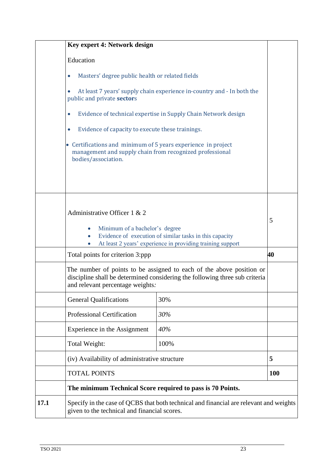|      | Key expert 4: Network design                                                                                                                     |                                                                                                                                                     |            |
|------|--------------------------------------------------------------------------------------------------------------------------------------------------|-----------------------------------------------------------------------------------------------------------------------------------------------------|------------|
|      | Education                                                                                                                                        |                                                                                                                                                     |            |
|      | Masters' degree public health or related fields<br>0                                                                                             |                                                                                                                                                     |            |
|      | public and private sectors                                                                                                                       | At least 7 years' supply chain experience in-country and - In both the                                                                              |            |
|      | $\bullet$                                                                                                                                        | Evidence of technical expertise in Supply Chain Network design                                                                                      |            |
|      | Evidence of capacity to execute these trainings.<br>$\bullet$                                                                                    |                                                                                                                                                     |            |
|      | • Certifications and minimum of 5 years experience in project<br>management and supply chain from recognized professional<br>bodies/association. |                                                                                                                                                     |            |
|      | Administrative Officer 1 & 2<br>Minimum of a bachelor's degree<br>$\bullet$<br>$\bullet$<br>$\bullet$                                            | Evidence of execution of similar tasks in this capacity<br>At least 2 years' experience in providing training support                               | 5          |
|      | Total points for criterion 3:ppp                                                                                                                 |                                                                                                                                                     | 40         |
|      | and relevant percentage weights.                                                                                                                 | The number of points to be assigned to each of the above position or<br>discipline shall be determined considering the following three sub criteria |            |
|      | <b>General Qualifications</b>                                                                                                                    | 30%                                                                                                                                                 |            |
|      | <b>Professional Certification</b>                                                                                                                | 30%                                                                                                                                                 |            |
|      | Experience in the Assignment                                                                                                                     | 40%                                                                                                                                                 |            |
|      | Total Weight:                                                                                                                                    | 100%                                                                                                                                                |            |
|      | (iv) Availability of administrative structure                                                                                                    |                                                                                                                                                     | 5          |
|      | <b>TOTAL POINTS</b>                                                                                                                              |                                                                                                                                                     | <b>100</b> |
|      | The minimum Technical Score required to pass is 70 Points.                                                                                       |                                                                                                                                                     |            |
| 17.1 | given to the technical and financial scores.                                                                                                     | Specify in the case of QCBS that both technical and financial are relevant and weights                                                              |            |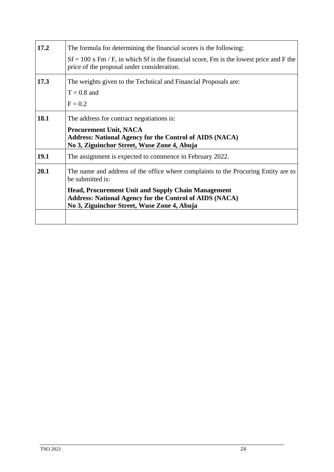| 17.2        | The formula for determining the financial scores is the following:                                                                                                         |  |  |
|-------------|----------------------------------------------------------------------------------------------------------------------------------------------------------------------------|--|--|
|             | $Sf = 100$ x Fm / F, in which Sf is the financial score, Fm is the lowest price and F the<br>price of the proposal under consideration.                                    |  |  |
| 17.3        | The weights given to the Technical and Financial Proposals are:                                                                                                            |  |  |
|             | $T = 0.8$ and                                                                                                                                                              |  |  |
|             | $F = 0.2$                                                                                                                                                                  |  |  |
| <b>18.1</b> | The address for contract negotiations is:                                                                                                                                  |  |  |
|             | <b>Procurement Unit, NACA</b>                                                                                                                                              |  |  |
|             | <b>Address: National Agency for the Control of AIDS (NACA)</b>                                                                                                             |  |  |
|             | No 3, Ziguinchor Street, Wuse Zone 4, Abuja                                                                                                                                |  |  |
| <b>19.1</b> | The assignment is expected to commence in February 2022.                                                                                                                   |  |  |
| 20.1        | The name and address of the office where complaints to the Procuring Entity are to<br>be submitted is:                                                                     |  |  |
|             | <b>Head, Procurement Unit and Supply Chain Management</b><br><b>Address: National Agency for the Control of AIDS (NACA)</b><br>No 3, Ziguinchor Street, Wuse Zone 4, Abuja |  |  |
|             |                                                                                                                                                                            |  |  |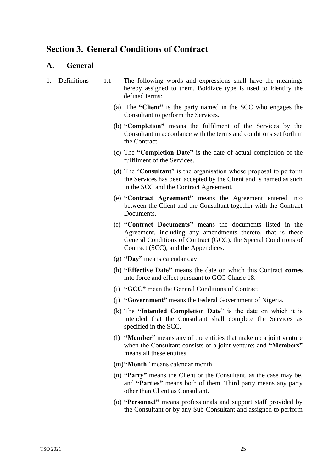## <span id="page-33-0"></span>**Section 3. General Conditions of Contract**

## <span id="page-33-1"></span>**A. General**

- <span id="page-33-2"></span>1. Definitions 1.1 The following words and expressions shall have the meanings hereby assigned to them. Boldface type is used to identify the defined terms:
	- (a) The **"Client"** is the party named in the SCC who engages the Consultant to perform the Services.
	- (b) **"Completion"** means the fulfilment of the Services by the Consultant in accordance with the terms and conditions set forth in the Contract.
	- (c) The **"Completion Date"** is the date of actual completion of the fulfilment of the Services.
	- (d) The "**Consultant**" is the organisation whose proposal to perform the Services has been accepted by the Client and is named as such in the SCC and the Contract Agreement.
	- (e) **"Contract Agreement"** means the Agreement entered into between the Client and the Consultant together with the Contract Documents.
	- (f) **"Contract Documents"** means the documents listed in the Agreement, including any amendments thereto, that is these General Conditions of Contract (GCC), the Special Conditions of Contract (SCC), and the Appendices.
	- (g) **"Day"** means calendar day.
	- (h) **"Effective Date"** means the date on which this Contract **comes** into force and effect pursuant to GCC Clause 18.
	- (i) **"GCC"** mean the General Conditions of Contract.
	- (j) **"Government"** means the Federal Government of Nigeria.
	- (k) The **"Intended Completion Date**" is the date on which it is intended that the Consultant shall complete the Services as specified in the SCC.
	- (l) **"Member"** means any of the entities that make up a joint venture when the Consultant consists of a joint venture; and **"Members"** means all these entities.
	- (m)**"Month**" means calendar month
	- (n) **"Party"** means the Client or the Consultant, as the case may be, and **"Parties"** means both of them. Third party means any party other than Client as Consultant.
	- (o) **"Personnel"** means professionals and support staff provided by the Consultant or by any Sub-Consultant and assigned to perform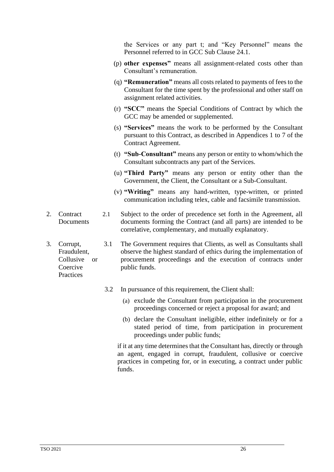the Services or any part t; and "Key Personnel" means the Personnel referred to in GCC Sub Clause 24.1.

- (p) **other expenses"** means all assignment-related costs other than Consultant's remuneration.
- (q) **"Remuneration"** means all costs related to payments of fees to the Consultant for the time spent by the professional and other staff on assignment related activities.
- (r) **"SCC"** means the Special Conditions of Contract by which the GCC may be amended or supplemented.
- (s) **"Services"** means the work to be performed by the Consultant pursuant to this Contract, as described in Appendices 1 to 7 of the Contract Agreement.
- (t) **"Sub-Consultant"** means any person or entity to whom/which the Consultant subcontracts any part of the Services.
- (u) **"Third Party"** means any person or entity other than the Government, the Client, the Consultant or a Sub-Consultant.
- (v) **"Writing"** means any hand-written, type-written, or printed communication including telex, cable and facsimile transmission.
- <span id="page-34-0"></span>2. Contract Documents 2.1 Subject to the order of precedence set forth in the Agreement, all documents forming the Contract (and all parts) are intended to be correlative, complementary, and mutually explanatory.
- <span id="page-34-1"></span>3. Corrupt, Fraudulent, Collusive or Coercive 3.1 The Government requires that Clients, as well as Consultants shall observe the highest standard of ethics during the implementation of procurement proceedings and the execution of contracts under public funds.
	- 3.2 In pursuance of this requirement, the Client shall:
		- (a) exclude the Consultant from participation in the procurement proceedings concerned or reject a proposal for award; and
		- (b) declare the Consultant ineligible, either indefinitely or for a stated period of time, from participation in procurement proceedings under public funds;

if it at any time determines that the Consultant has, directly or through an agent, engaged in corrupt, fraudulent, collusive or coercive practices in competing for, or in executing, a contract under public funds.

Practices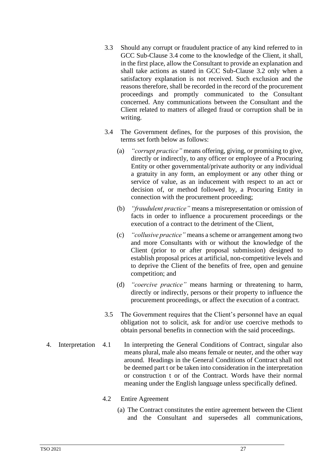- 3.3 Should any corrupt or fraudulent practice of any kind referred to in GCC Sub-Clause 3.4 come to the knowledge of the Client, it shall, in the first place, allow the Consultant to provide an explanation and shall take actions as stated in GCC Sub-Clause 3.2 only when a satisfactory explanation is not received. Such exclusion and the reasons therefore, shall be recorded in the record of the procurement proceedings and promptly communicated to the Consultant concerned. Any communications between the Consultant and the Client related to matters of alleged fraud or corruption shall be in writing.
- 3.4 The Government defines, for the purposes of this provision, the terms set forth below as follows:
	- (a) *"corrupt practice"* means offering, giving, or promising to give, directly or indirectly, to any officer or employee of a Procuring Entity or other governmental/private authority or any individual a gratuity in any form, an employment or any other thing or service of value, as an inducement with respect to an act or decision of, or method followed by, a Procuring Entity in connection with the procurement proceeding;
	- (b) *"fraudulent practice"* means a misrepresentation or omission of facts in order to influence a procurement proceedings or the execution of a contract to the detriment of the Client,
	- (c) *"collusive practice"* means a scheme or arrangement among two and more Consultants with or without the knowledge of the Client (prior to or after proposal submission) designed to establish proposal prices at artificial, non-competitive levels and to deprive the Client of the benefits of free, open and genuine competition; and
	- (d) *"coercive practice"* means harming or threatening to harm, directly or indirectly, persons or their property to influence the procurement proceedings, or affect the execution of a contract.
- 3.5 The Government requires that the Client's personnel have an equal obligation not to solicit, ask for and/or use coercive methods to obtain personal benefits in connection with the said proceedings.
- <span id="page-35-0"></span>4. Interpretation 4.1 In interpreting the General Conditions of Contract, singular also means plural, male also means female or neuter, and the other way around. Headings in the General Conditions of Contract shall not be deemed part t or be taken into consideration in the interpretation or construction t or of the Contract. Words have their normal meaning under the English language unless specifically defined.
	- 4.2 Entire Agreement
		- (a) The Contract constitutes the entire agreement between the Client and the Consultant and supersedes all communications,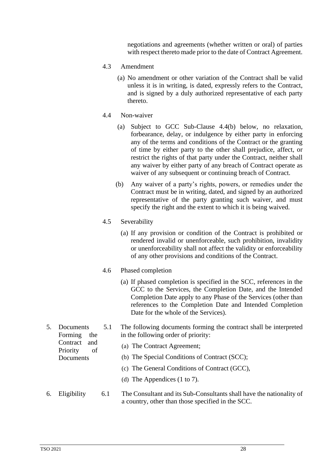negotiations and agreements (whether written or oral) of parties with respect thereto made prior to the date of Contract Agreement.

- 4.3 Amendment
	- (a) No amendment or other variation of the Contract shall be valid unless it is in writing, is dated, expressly refers to the Contract, and is signed by a duly authorized representative of each party thereto.
- 4.4 Non-waiver
	- (a) Subject to GCC Sub-Clause 4.4(b) below, no relaxation, forbearance, delay, or indulgence by either party in enforcing any of the terms and conditions of the Contract or the granting of time by either party to the other shall prejudice, affect, or restrict the rights of that party under the Contract, neither shall any waiver by either party of any breach of Contract operate as waiver of any subsequent or continuing breach of Contract.
	- (b) Any waiver of a party's rights, powers, or remedies under the Contract must be in writing, dated, and signed by an authorized representative of the party granting such waiver, and must specify the right and the extent to which it is being waived.
- 4.5 Severability
	- (a) If any provision or condition of the Contract is prohibited or rendered invalid or unenforceable, such prohibition, invalidity or unenforceability shall not affect the validity or enforceability of any other provisions and conditions of the Contract.
- 4.6 Phased completion
	- (a) If phased completion is specified in the SCC, references in the GCC to the Services, the Completion Date, and the Intended Completion Date apply to any Phase of the Services (other than references to the Completion Date and Intended Completion Date for the whole of the Services).

| 5. | Documents<br>Forming<br>the<br>Contract<br>and | 5.1 | The following documents forming the contract shall be interpreted<br>in the following order of priority:<br>(a) The Contract Agreement; |
|----|------------------------------------------------|-----|-----------------------------------------------------------------------------------------------------------------------------------------|
|    | Priority<br>of<br>Documents                    |     | (b) The Special Conditions of Contract (SCC);<br>(c) The General Conditions of Contract (GCC),                                          |
|    |                                                |     | (d) The Appendices $(1 \text{ to } 7)$ .                                                                                                |
| 6. | Eligibility                                    | 6.1 | The Consultant and its Sub-Consultants shall have the nationality of<br>a country, other than those specified in the SCC.               |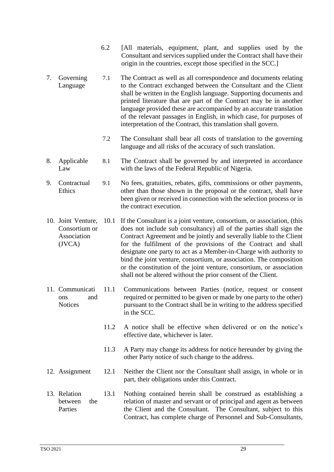- 6.2 [All materials, equipment, plant, and supplies used by the Consultant and services supplied under the Contract shall have their origin in the countries, except those specified in the SCC.]
- 7. Governing Language 7.1 The Contract as well as all correspondence and documents relating to the Contract exchanged between the Consultant and the Client shall be written in the English language. Supporting documents and printed literature that are part of the Contract may be in another language provided these are accompanied by an accurate translation of the relevant passages in English, in which case, for purposes of interpretation of the Contract, this translation shall govern.
	- 7.2 The Consultant shall bear all costs of translation to the governing language and all risks of the accuracy of such translation.
- 8. Applicable Law 8.1 The Contract shall be governed by and interpreted in accordance with the laws of the Federal Republic of Nigeria.
- 9. Contractual **Ethics** 9.1 No fees, gratuities, rebates, gifts, commissions or other payments, other than those shown in the proposal or the contract, shall have been given or received in connection with the selection process or in the contract execution.
- 10. Joint Venture, Consortium or Association (JVCA) 10.1 If the Consultant is a joint venture, consortium, or association, (this does not include sub consultancy) all of the parties shall sign the Contract Agreement and be jointly and severally liable to the Client for the fulfilment of the provisions of the Contract and shall designate one party to act as a Member-in-Charge with authority to bind the joint venture, consortium, or association. The composition or the constitution of the joint venture, consortium, or association shall not be altered without the prior consent of the Client.
- 11. Communicati ons and **Notices** 11.1 Communications between Parties (notice, request or consent required or permitted to be given or made by one party to the other) pursuant to the Contract shall be in writing to the address specified in the SCC.
	- 11.2 A notice shall be effective when delivered or on the notice's effective date, whichever is later.
	- 11.3 A Party may change its address for notice hereunder by giving the other Party notice of such change to the address.
- 12. Assignment 12.1 Neither the Client nor the Consultant shall assign, in whole or in part, their obligations under this Contract.
- 13. Relation between the Parties 13.1 Nothing contained herein shall be construed as establishing a relation of master and servant or of principal and agent as between the Client and the Consultant. The Consultant, subject to this Contract, has complete charge of Personnel and Sub-Consultants,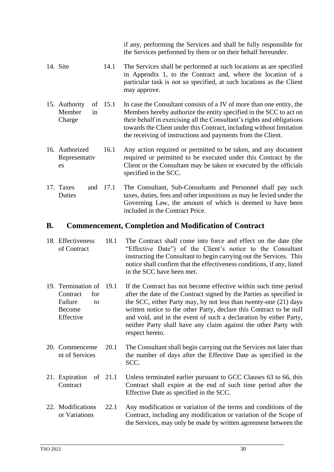|                                               |         | if any, performing the Services and shall be fully responsible for<br>the Services performed by them or on their behalf hereunder.                                                                                                                                                                                                                          |
|-----------------------------------------------|---------|-------------------------------------------------------------------------------------------------------------------------------------------------------------------------------------------------------------------------------------------------------------------------------------------------------------------------------------------------------------|
| 14. Site                                      | 14.1    | The Services shall be performed at such locations as are specified<br>in Appendix 1, to the Contract and, where the location of a<br>particular task is not so specified, at such locations as the Client<br>may approve.                                                                                                                                   |
| 15. Authority<br>Member<br>in<br>Charge       | of 15.1 | In case the Consultant consists of a JV of more than one entity, the<br>Members hereby authorize the entity specified in the SCC to act on<br>their behalf in exercising all the Consultant's rights and obligations<br>towards the Client under this Contract, including without limitation<br>the receiving of instructions and payments from the Client. |
| 16. Authorized<br>16.1<br>Representativ<br>es |         | Any action required or permitted to be taken, and any document<br>required or permitted to be executed under this Contract by the<br>Client or the Consultant may be taken or executed by the officials<br>specified in the SCC.                                                                                                                            |
| 17. Taxes<br>and<br>Duties                    | 17.1    | The Consultant, Sub-Consultants and Personnel shall pay such<br>taxes, duties, fees and other impositions as may be levied under the<br>Governing Law, the amount of which is deemed to have been<br>included in the Contract Price.                                                                                                                        |

# **B. Commencement, Completion and Modification of Contract**

- 18. Effectiveness of Contract 18.1 The Contract shall come into force and effect on the date (the "Effective Date") of the Client's notice to the Consultant instructing the Consultant to begin carrying out the Services. This notice shall confirm that the effectiveness conditions, if any, listed in the SCC have been met.
- 19. Termination of Contract for Failure to Become Effective If the Contract has not become effective within such time period after the date of the Contract signed by the Parties as specified in the SCC, either Party may, by not less than twenty-one (21) days written notice to the other Party, declare this Contract to be null and void, and in the event of such a declaration by either Party, neither Party shall have any claim against the other Party with respect hereto.
- 20. Commenceme nt of Services 20.1 The Consultant shall begin carrying out the Services not later than the number of days after the Effective Date as specified in the SCC.
- 21. Expiration of **Contract** Unless terminated earlier pursuant to GCC Clauses 63 to 66, this Contract shall expire at the end of such time period after the Effective Date as specified in the SCC.
- 22. Modifications or Variations 22.1 Any modification or variation of the terms and conditions of the Contract, including any modification or variation of the Scope of the Services, may only be made by written agreement between the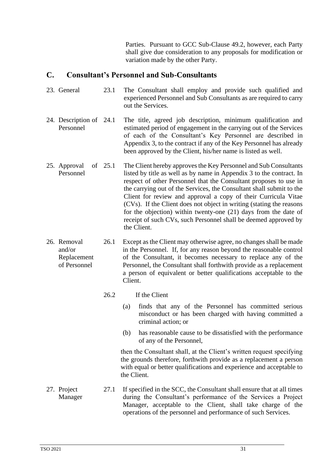Parties. Pursuant to GCC Sub-Clause 49.2, however, each Party shall give due consideration to any proposals for modification or variation made by the other Party.

#### **C. Consultant's Personnel and Sub-Consultants**

- 23. General 23.1 The Consultant shall employ and provide such qualified and experienced Personnel and Sub Consultants as are required to carry out the Services.
- 24. Description of 24.1 Personnel The title, agreed job description, minimum qualification and estimated period of engagement in the carrying out of the Services of each of the Consultant's Key Personnel are described in Appendix 3, to the contract if any of the Key Personnel has already been approved by the Client, his/her name is listed as well.
- 25. Approval of Personnel The Client hereby approves the Key Personnel and Sub Consultants listed by title as well as by name in Appendix 3 to the contract. In respect of other Personnel that the Consultant proposes to use in the carrying out of the Services, the Consultant shall submit to the Client for review and approval a copy of their Curricula Vitae (CVs). If the Client does not object in writing (stating the reasons for the objection) within twenty-one (21) days from the date of receipt of such CVs, such Personnel shall be deemed approved by the Client.
- 26. Removal and/or Replacement of Personnel 26.1 Except as the Client may otherwise agree, no changes shall be made in the Personnel. If, for any reason beyond the reasonable control of the Consultant, it becomes necessary to replace any of the Personnel, the Consultant shall forthwith provide as a replacement a person of equivalent or better qualifications acceptable to the Client.
	- 26.2 If the Client
		- (a) finds that any of the Personnel has committed serious misconduct or has been charged with having committed a criminal action; or
		- (b) has reasonable cause to be dissatisfied with the performance of any of the Personnel,

then the Consultant shall, at the Client's written request specifying the grounds therefore, forthwith provide as a replacement a person with equal or better qualifications and experience and acceptable to the Client.

27. Project Manager 27.1 If specified in the SCC, the Consultant shall ensure that at all times during the Consultant's performance of the Services a Project Manager, acceptable to the Client, shall take charge of the operations of the personnel and performance of such Services.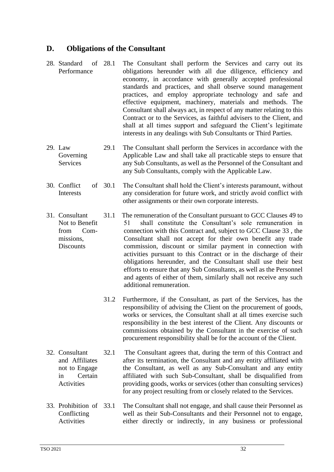# **D. Obligations of the Consultant**

- 28. Standard of 28.1 Performance The Consultant shall perform the Services and carry out its obligations hereunder with all due diligence, efficiency and economy, in accordance with generally accepted professional standards and practices, and shall observe sound management practices, and employ appropriate technology and safe and effective equipment, machinery, materials and methods. The Consultant shall always act, in respect of any matter relating to this Contract or to the Services, as faithful advisers to the Client, and shall at all times support and safeguard the Client's legitimate interests in any dealings with Sub Consultants or Third Parties.
- 29. Law Governing **Services** 29.1 The Consultant shall perform the Services in accordance with the Applicable Law and shall take all practicable steps to ensure that any Sub Consultants, as well as the Personnel of the Consultant and any Sub Consultants, comply with the Applicable Law.
- 30. Conflict of Interests The Consultant shall hold the Client's interests paramount, without any consideration for future work, and strictly avoid conflict with other assignments or their own corporate interests.
- 31. Consultant Not to Benefit from Commissions, **Discounts** 31.1 The remuneration of the Consultant pursuant to GCC Clauses 49 to 51 shall constitute the Consultant's sole remuneration in connection with this Contract and, subject to GCC Clause 33 , the Consultant shall not accept for their own benefit any trade commission, discount or similar payment in connection with activities pursuant to this Contract or in the discharge of their obligations hereunder, and the Consultant shall use their best efforts to ensure that any Sub Consultants, as well as the Personnel and agents of either of them, similarly shall not receive any such additional remuneration.
	- 31.2 Furthermore, if the Consultant, as part of the Services, has the responsibility of advising the Client on the procurement of goods, works or services, the Consultant shall at all times exercise such responsibility in the best interest of the Client. Any discounts or commissions obtained by the Consultant in the exercise of such procurement responsibility shall be for the account of the Client.
- 32. Consultant and Affiliates not to Engage in Certain Activities 32.1 The Consultant agrees that, during the term of this Contract and after its termination, the Consultant and any entity affiliated with the Consultant, as well as any Sub-Consultant and any entity affiliated with such Sub-Consultant, shall be disqualified from providing goods, works or services (other than consulting services) for any project resulting from or closely related to the Services.
- 33. Prohibition of Conflicting Activities The Consultant shall not engage, and shall cause their Personnel as well as their Sub-Consultants and their Personnel not to engage, either directly or indirectly, in any business or professional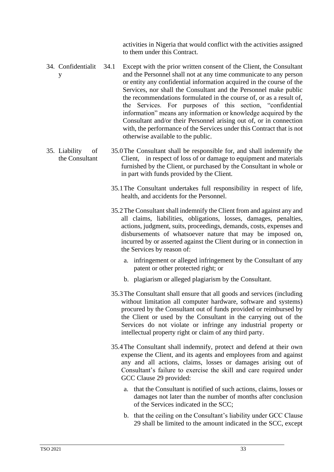activities in Nigeria that would conflict with the activities assigned to them under this Contract.

- 34. Confidentialit y 34.1 Except with the prior written consent of the Client, the Consultant and the Personnel shall not at any time communicate to any person or entity any confidential information acquired in the course of the Services, nor shall the Consultant and the Personnel make public the recommendations formulated in the course of, or as a result of, the Services. For purposes of this section, "confidential information" means any information or knowledge acquired by the Consultant and/or their Personnel arising out of, or in connection with, the performance of the Services under this Contract that is not otherwise available to the public.
- 35. Liability of the Consultant 35.0The Consultant shall be responsible for, and shall indemnify the Client, in respect of loss of or damage to equipment and materials furnished by the Client, or purchased by the Consultant in whole or in part with funds provided by the Client.
	- 35.1The Consultant undertakes full responsibility in respect of life, health, and accidents for the Personnel.
	- 35.2The Consultant shall indemnify the Client from and against any and all claims, liabilities, obligations, losses, damages, penalties, actions, judgment, suits, proceedings, demands, costs, expenses and disbursements of whatsoever nature that may be imposed on, incurred by or asserted against the Client during or in connection in the Services by reason of:
		- a. infringement or alleged infringement by the Consultant of any patent or other protected right; or
		- b. plagiarism or alleged plagiarism by the Consultant.
	- 35.3The Consultant shall ensure that all goods and services (including without limitation all computer hardware, software and systems) procured by the Consultant out of funds provided or reimbursed by the Client or used by the Consultant in the carrying out of the Services do not violate or infringe any industrial property or intellectual property right or claim of any third party.
	- 35.4The Consultant shall indemnify, protect and defend at their own expense the Client, and its agents and employees from and against any and all actions, claims, losses or damages arising out of Consultant's failure to exercise the skill and care required under GCC Clause 29 provided:
		- a. that the Consultant is notified of such actions, claims, losses or damages not later than the number of months after conclusion of the Services indicated in the SCC;
		- b. that the ceiling on the Consultant's liability under GCC Clause 29 shall be limited to the amount indicated in the SCC, except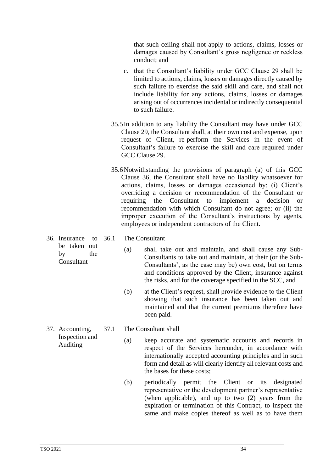that such ceiling shall not apply to actions, claims, losses or damages caused by Consultant's gross negligence or reckless conduct; and

- c. that the Consultant's liability under GCC Clause 29 shall be limited to actions, claims, losses or damages directly caused by such failure to exercise the said skill and care, and shall not include liability for any actions, claims, losses or damages arising out of occurrences incidental or indirectly consequential to such failure.
- 35.5In addition to any liability the Consultant may have under GCC Clause 29, the Consultant shall, at their own cost and expense, upon request of Client, re-perform the Services in the event of Consultant's failure to exercise the skill and care required under GCC Clause 29.
- 35.6Notwithstanding the provisions of paragraph (a) of this GCC Clause 36, the Consultant shall have no liability whatsoever for actions, claims, losses or damages occasioned by: (i) Client's overriding a decision or recommendation of the Consultant or requiring the Consultant to implement a decision or recommendation with which Consultant do not agree; or (ii) the improper execution of the Consultant's instructions by agents, employees or independent contractors of the Client.
- 36. Insurance to be taken out by the Consultant
- 36.1 The Consultant
	- (a) shall take out and maintain, and shall cause any Sub-Consultants to take out and maintain, at their (or the Sub-Consultants', as the case may be) own cost, but on terms and conditions approved by the Client, insurance against the risks, and for the coverage specified in the SCC, and
	- (b) at the Client's request, shall provide evidence to the Client showing that such insurance has been taken out and maintained and that the current premiums therefore have been paid.
- 37. Accounting, Inspection and Auditing
- 37.1 The Consultant shall
	- (a) keep accurate and systematic accounts and records in respect of the Services hereunder, in accordance with internationally accepted accounting principles and in such form and detail as will clearly identify all relevant costs and the bases for these costs;
	- (b) periodically permit the Client or its designated representative or the development partner's representative (when applicable), and up to two (2) years from the expiration or termination of this Contract, to inspect the same and make copies thereof as well as to have them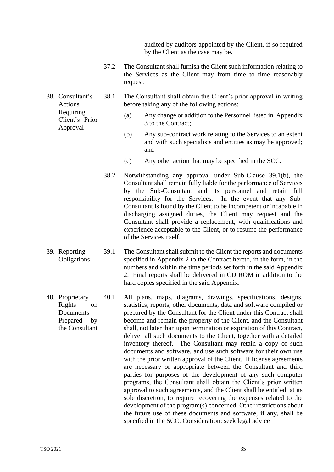audited by auditors appointed by the Client, if so required by the Client as the case may be.

- 37.2 The Consultant shall furnish the Client such information relating to the Services as the Client may from time to time reasonably request.
- Actions 38.1 The Consultant shall obtain the Client's prior approval in writing before taking any of the following actions:
	- (a) Any change or addition to the Personnel listed in Appendix 3 to the Contract;
	- (b) Any sub-contract work relating to the Services to an extent and with such specialists and entities as may be approved; and
	- (c) Any other action that may be specified in the SCC.
	- 38.2 Notwithstanding any approval under Sub-Clause 39.1(b), the Consultant shall remain fully liable for the performance of Services by the Sub-Consultant and its personnel and retain full responsibility for the Services. In the event that any Sub-Consultant is found by the Client to be incompetent or incapable in discharging assigned duties, the Client may request and the Consultant shall provide a replacement, with qualifications and experience acceptable to the Client, or to resume the performance of the Services itself.
- 39. Reporting **Obligations** 39.1 The Consultant shall submit to the Client the reports and documents specified in Appendix 2 to the Contract hereto, in the form, in the numbers and within the time periods set forth in the said Appendix 2. Final reports shall be delivered in CD ROM in addition to the hard copies specified in the said Appendix.
- 40. Proprietary Rights on Documents Prepared by the Consultant 40.1 All plans, maps, diagrams, drawings, specifications, designs, statistics, reports, other documents, data and software compiled or prepared by the Consultant for the Client under this Contract shall become and remain the property of the Client, and the Consultant shall, not later than upon termination or expiration of this Contract, deliver all such documents to the Client, together with a detailed inventory thereof. The Consultant may retain a copy of such documents and software, and use such software for their own use with the prior written approval of the Client. If license agreements are necessary or appropriate between the Consultant and third parties for purposes of the development of any such computer programs, the Consultant shall obtain the Client's prior written approval to such agreements, and the Client shall be entitled, at its sole discretion, to require recovering the expenses related to the development of the program(s) concerned. Other restrictions about the future use of these documents and software, if any, shall be specified in the SCC. Consideration: seek legal advice

38. Consultant's Requiring Client's Prior Approval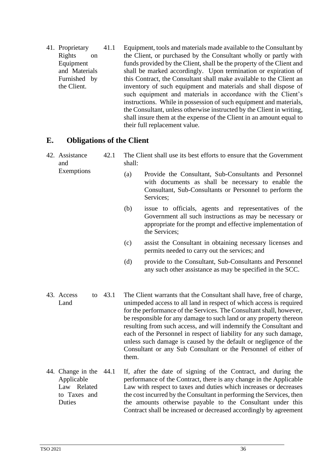41. Proprietary Rights on Equipment and Materials Furnished by the Client. 41.1 Equipment, tools and materials made available to the Consultant by the Client, or purchased by the Consultant wholly or partly with funds provided by the Client, shall be the property of the Client and shall be marked accordingly. Upon termination or expiration of this Contract, the Consultant shall make available to the Client an inventory of such equipment and materials and shall dispose of such equipment and materials in accordance with the Client's instructions. While in possession of such equipment and materials, the Consultant, unless otherwise instructed by the Client in writing, shall insure them at the expense of the Client in an amount equal to their full replacement value.

#### **E. Obligations of the Client**

- 42. Assistance and Exemptions 42.1 The Client shall use its best efforts to ensure that the Government shall: (a) Provide the Consultant, Sub-Consultants and Personnel
	- with documents as shall be necessary to enable the Consultant, Sub-Consultants or Personnel to perform the Services;
	- (b) issue to officials, agents and representatives of the Government all such instructions as may be necessary or appropriate for the prompt and effective implementation of the Services;
	- (c) assist the Consultant in obtaining necessary licenses and permits needed to carry out the services; and
	- (d) provide to the Consultant, Sub-Consultants and Personnel any such other assistance as may be specified in the SCC.
- 43. Access to Land The Client warrants that the Consultant shall have, free of charge, unimpeded access to all land in respect of which access is required for the performance of the Services. The Consultant shall, however, be responsible for any damage to such land or any property thereon resulting from such access, and will indemnify the Consultant and each of the Personnel in respect of liability for any such damage, unless such damage is caused by the default or negligence of the Consultant or any Sub Consultant or the Personnel of either of them.
- 44. Change in the Applicable Law Related to Taxes and **Duties** If, after the date of signing of the Contract, and during the performance of the Contract, there is any change in the Applicable Law with respect to taxes and duties which increases or decreases the cost incurred by the Consultant in performing the Services, then the amounts otherwise payable to the Consultant under this Contract shall be increased or decreased accordingly by agreement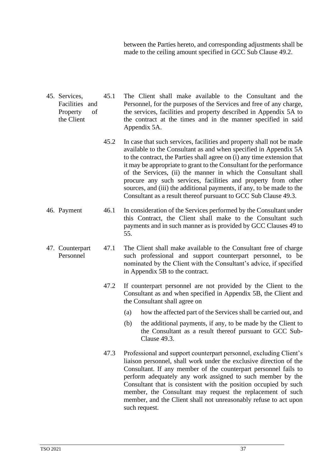between the Parties hereto, and corresponding adjustments shall be made to the ceiling amount specified in GCC Sub Clause 49.2.

- 45. Services, Facilities and Property of the Client 45.1 The Client shall make available to the Consultant and the Personnel, for the purposes of the Services and free of any charge, the services, facilities and property described in Appendix 5A to the contract at the times and in the manner specified in said Appendix 5A.
	- 45.2 In case that such services, facilities and property shall not be made available to the Consultant as and when specified in Appendix 5A to the contract, the Parties shall agree on (i) any time extension that it may be appropriate to grant to the Consultant for the performance of the Services, (ii) the manner in which the Consultant shall procure any such services, facilities and property from other sources, and (iii) the additional payments, if any, to be made to the Consultant as a result thereof pursuant to GCC Sub Clause 49.3.
- 46. Payment 46.1 In consideration of the Services performed by the Consultant under this Contract, the Client shall make to the Consultant such payments and in such manner as is provided by GCC Clauses 49 to 55.
- 47. Counterpart Personnel 47.1 The Client shall make available to the Consultant free of charge such professional and support counterpart personnel, to be nominated by the Client with the Consultant's advice, if specified in Appendix 5B to the contract.
	- 47.2 If counterpart personnel are not provided by the Client to the Consultant as and when specified in Appendix 5B, the Client and the Consultant shall agree on
		- (a) how the affected part of the Services shall be carried out, and
		- (b) the additional payments, if any, to be made by the Client to the Consultant as a result thereof pursuant to GCC Sub-Clause 49.3.
	- 47.3 Professional and support counterpart personnel, excluding Client's liaison personnel, shall work under the exclusive direction of the Consultant. If any member of the counterpart personnel fails to perform adequately any work assigned to such member by the Consultant that is consistent with the position occupied by such member, the Consultant may request the replacement of such member, and the Client shall not unreasonably refuse to act upon such request.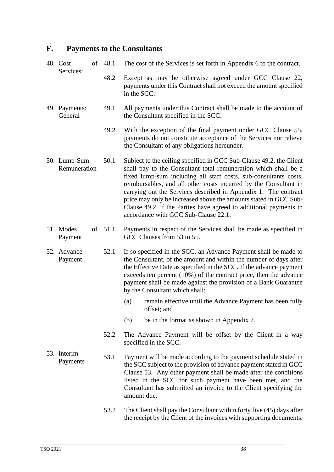# **F. Payments to the Consultants**

| 48. Cost<br>of<br>Services:  | 48.1 | The cost of the Services is set forth in Appendix 6 to the contract.                                                                                                                                                                                                                                                                                                                                                                                                                                                               |  |  |  |  |  |  |
|------------------------------|------|------------------------------------------------------------------------------------------------------------------------------------------------------------------------------------------------------------------------------------------------------------------------------------------------------------------------------------------------------------------------------------------------------------------------------------------------------------------------------------------------------------------------------------|--|--|--|--|--|--|
|                              | 48.2 | Except as may be otherwise agreed under GCC Clause 22,<br>payments under this Contract shall not exceed the amount specified<br>in the SCC.                                                                                                                                                                                                                                                                                                                                                                                        |  |  |  |  |  |  |
| 49. Payments:<br>General     | 49.1 | All payments under this Contract shall be made to the account of<br>the Consultant specified in the SCC.                                                                                                                                                                                                                                                                                                                                                                                                                           |  |  |  |  |  |  |
|                              | 49.2 | With the exception of the final payment under GCC Clause 55,<br>payments do not constitute acceptance of the Services nor relieve<br>the Consultant of any obligations hereunder.                                                                                                                                                                                                                                                                                                                                                  |  |  |  |  |  |  |
| 50. Lump-Sum<br>Remuneration | 50.1 | Subject to the ceiling specified in GCC Sub-Clause 49.2, the Client<br>shall pay to the Consultant total remuneration which shall be a<br>fixed lump-sum including all staff costs, sub-consultants costs,<br>reimbursables, and all other costs incurred by the Consultant in<br>carrying out the Services described in Appendix 1. The contract<br>price may only be increased above the amounts stated in GCC Sub-<br>Clause 49.2, if the Parties have agreed to additional payments in<br>accordance with GCC Sub-Clause 22.1. |  |  |  |  |  |  |
| 51. Modes<br>of<br>Payment   | 51.1 | Payments in respect of the Services shall be made as specified in<br>GCC Clauses from 53 to 55.                                                                                                                                                                                                                                                                                                                                                                                                                                    |  |  |  |  |  |  |
| 52. Advance<br>Payment       | 52.1 | If so specified in the SCC, an Advance Payment shall be made to<br>the Consultant, of the amount and within the number of days after<br>the Effective Date as specified in the SCC. If the advance payment<br>exceeds ten percent (10%) of the contract price, then the advance<br>payment shall be made against the provision of a Bank Guarantee<br>by the Consultant which shall:                                                                                                                                               |  |  |  |  |  |  |
|                              |      | remain effective until the Advance Payment has been fully<br>(a)<br>offset; and                                                                                                                                                                                                                                                                                                                                                                                                                                                    |  |  |  |  |  |  |
|                              |      | be in the format as shown in Appendix 7.<br>(b)                                                                                                                                                                                                                                                                                                                                                                                                                                                                                    |  |  |  |  |  |  |
|                              | 52.2 | The Advance Payment will be offset by the Client in a way<br>specified in the SCC.                                                                                                                                                                                                                                                                                                                                                                                                                                                 |  |  |  |  |  |  |
| 53. Interim<br>Payments      | 53.1 | Payment will be made according to the payment schedule stated in<br>the SCC subject to the provision of advance payment stated in GCC<br>Clause 53. Any other payment shall be made after the conditions<br>listed in the SCC for such payment have been met, and the<br>Consultant has submitted an invoice to the Client specifying the<br>amount due.                                                                                                                                                                           |  |  |  |  |  |  |
|                              | 53.2 | The Client shall pay the Consultant within forty five (45) days after<br>the receipt by the Client of the invoices with supporting documents.                                                                                                                                                                                                                                                                                                                                                                                      |  |  |  |  |  |  |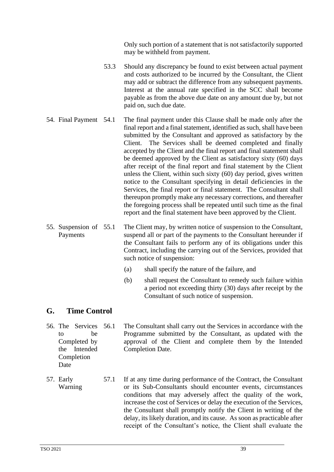Only such portion of a statement that is not satisfactorily supported may be withheld from payment.

- 53.3 Should any discrepancy be found to exist between actual payment and costs authorized to be incurred by the Consultant, the Client may add or subtract the difference from any subsequent payments. Interest at the annual rate specified in the SCC shall become payable as from the above due date on any amount due by, but not paid on, such due date.
- 54. Final Payment 54.1 The final payment under this Clause shall be made only after the final report and a final statement, identified as such, shall have been submitted by the Consultant and approved as satisfactory by the Client. The Services shall be deemed completed and finally accepted by the Client and the final report and final statement shall be deemed approved by the Client as satisfactory sixty (60) days after receipt of the final report and final statement by the Client unless the Client, within such sixty (60) day period, gives written notice to the Consultant specifying in detail deficiencies in the Services, the final report or final statement. The Consultant shall thereupon promptly make any necessary corrections, and thereafter the foregoing process shall be repeated until such time as the final report and the final statement have been approved by the Client.
- 55. Suspension of Payments The Client may, by written notice of suspension to the Consultant, suspend all or part of the payments to the Consultant hereunder if the Consultant fails to perform any of its obligations under this Contract, including the carrying out of the Services, provided that such notice of suspension:
	- (a) shall specify the nature of the failure, and
	- (b) shall request the Consultant to remedy such failure within a period not exceeding thirty (30) days after receipt by the Consultant of such notice of suspension.

#### **G. Time Control**

Date

- 56. The Services to be Completed by the Intended Completion The Consultant shall carry out the Services in accordance with the Programme submitted by the Consultant, as updated with the approval of the Client and complete them by the Intended Completion Date.
- 57. Early Warning 57.1 If at any time during performance of the Contract, the Consultant or its Sub-Consultants should encounter events, circumstances conditions that may adversely affect the quality of the work, increase the cost of Services or delay the execution of the Services, the Consultant shall promptly notify the Client in writing of the delay, its likely duration, and its cause. As soon as practicable after receipt of the Consultant's notice, the Client shall evaluate the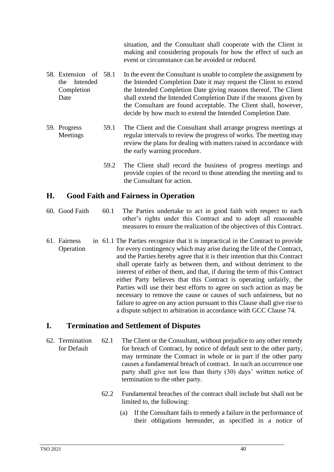situation, and the Consultant shall cooperate with the Client in making and considering proposals for how the effect of such an event or circumstance can be avoided or reduced.

- 58. Extension of the Intended Completion Date In the event the Consultant is unable to complete the assignment by the Intended Completion Date it may request the Client to extend the Intended Completion Date giving reasons thereof. The Client shall extend the Intended Completion Date if the reasons given by the Consultant are found acceptable. The Client shall, however, decide by how much to extend the Intended Completion Date.
- 59. Progress Meetings 59.1 The Client and the Consultant shall arrange progress meetings at regular intervals to review the progress of works. The meeting may review the plans for dealing with matters raised in accordance with the early warning procedure.
	- 59.2 The Client shall record the business of progress meetings and provide copies of the record to those attending the meeting and to the Consultant for action.

# **H. Good Faith and Fairness in Operation**

- 60. Good Faith 60.1 The Parties undertake to act in good faith with respect to each other's rights under this Contract and to adopt all reasonable measures to ensure the realization of the objectives of this Contract.
- 61. Fairness Operation 61.1 The Parties recognize that it is impractical in the Contract to provide for every contingency which may arise during the life of the Contract, and the Parties hereby agree that it is their intention that this Contract shall operate fairly as between them, and without detriment to the interest of either of them, and that, if during the term of this Contract either Party believes that this Contract is operating unfairly, the Parties will use their best efforts to agree on such action as may be necessary to remove the cause or causes of such unfairness, but no failure to agree on any action pursuant to this Clause shall give rise to a dispute subject to arbitration in accordance with GCC Clause 74.

# **I. Termination and Settlement of Disputes**

- 62. Termination for Default 62.1 The Client or the Consultant, without prejudice to any other remedy for breach of Contract, by notice of default sent to the other party, may terminate the Contract in whole or in part if the other party causes a fundamental breach of contract. In such an occurrence one party shall give not less than thirty (30) days' written notice of termination to the other party.
	- 62.2 Fundamental breaches of the contract shall include but shall not be limited to, the following:
		- (a) If the Consultant fails to remedy a failure in the performance of their obligations hereunder, as specified in a notice of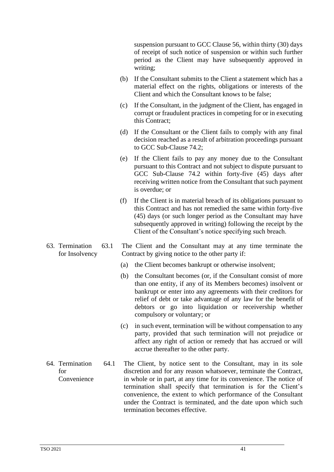suspension pursuant to GCC Clause 56, within thirty (30) days of receipt of such notice of suspension or within such further period as the Client may have subsequently approved in writing;

- (b) If the Consultant submits to the Client a statement which has a material effect on the rights, obligations or interests of the Client and which the Consultant knows to be false;
- (c) If the Consultant, in the judgment of the Client, has engaged in corrupt or fraudulent practices in competing for or in executing this Contract;
- (d) If the Consultant or the Client fails to comply with any final decision reached as a result of arbitration proceedings pursuant to GCC Sub-Clause 74.2;
- (e) If the Client fails to pay any money due to the Consultant pursuant to this Contract and not subject to dispute pursuant to GCC Sub-Clause 74.2 within forty-five (45) days after receiving written notice from the Consultant that such payment is overdue; or
- (f) If the Client is in material breach of its obligations pursuant to this Contract and has not remedied the same within forty-five (45) days (or such longer period as the Consultant may have subsequently approved in writing) following the receipt by the Client of the Consultant's notice specifying such breach.
- for Insolvency 63.1 The Client and the Consultant may at any time terminate the Contract by giving notice to the other party if:
	- (a) the Client becomes bankrupt or otherwise insolvent;
	- (b) the Consultant becomes (or, if the Consultant consist of more than one entity, if any of its Members becomes) insolvent or bankrupt or enter into any agreements with their creditors for relief of debt or take advantage of any law for the benefit of debtors or go into liquidation or receivership whether compulsory or voluntary; or
	- (c) in such event, termination will be without compensation to any party, provided that such termination will not prejudice or affect any right of action or remedy that has accrued or will accrue thereafter to the other party.
- 64. Termination for Convenience 64.1 The Client, by notice sent to the Consultant, may in its sole discretion and for any reason whatsoever, terminate the Contract, in whole or in part, at any time for its convenience. The notice of termination shall specify that termination is for the Client's convenience, the extent to which performance of the Consultant under the Contract is terminated, and the date upon which such termination becomes effective.

63. Termination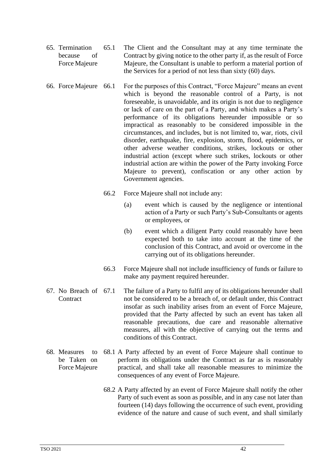- 65. Termination because of Force Majeure 65.1 The Client and the Consultant may at any time terminate the Contract by giving notice to the other party if, as the result of Force Majeure, the Consultant is unable to perform a material portion of the Services for a period of not less than sixty (60) days.
- 66. Force Majeure 66.1 For the purposes of this Contract, "Force Majeure" means an event which is beyond the reasonable control of a Party, is not foreseeable, is unavoidable, and its origin is not due to negligence or lack of care on the part of a Party, and which makes a Party's performance of its obligations hereunder impossible or so impractical as reasonably to be considered impossible in the circumstances, and includes, but is not limited to, war, riots, civil disorder, earthquake, fire, explosion, storm, flood, epidemics, or other adverse weather conditions, strikes, lockouts or other industrial action (except where such strikes, lockouts or other industrial action are within the power of the Party invoking Force Majeure to prevent), confiscation or any other action by Government agencies.
	- 66.2 Force Majeure shall not include any:
		- (a) event which is caused by the negligence or intentional action of a Party or such Party's Sub-Consultants or agents or employees, or
		- (b) event which a diligent Party could reasonably have been expected both to take into account at the time of the conclusion of this Contract, and avoid or overcome in the carrying out of its obligations hereunder.
	- 66.3 Force Majeure shall not include insufficiency of funds or failure to make any payment required hereunder.
- 67. No Breach of **Contract** The failure of a Party to fulfil any of its obligations hereunder shall not be considered to be a breach of, or default under, this Contract insofar as such inability arises from an event of Force Majeure, provided that the Party affected by such an event has taken all reasonable precautions, due care and reasonable alternative measures, all with the objective of carrying out the terms and conditions of this Contract.
- 68. Measures to be Taken on Force Majeure 68.1 A Party affected by an event of Force Majeure shall continue to perform its obligations under the Contract as far as is reasonably practical, and shall take all reasonable measures to minimize the consequences of any event of Force Majeure.
	- 68.2 A Party affected by an event of Force Majeure shall notify the other Party of such event as soon as possible, and in any case not later than fourteen (14) days following the occurrence of such event, providing evidence of the nature and cause of such event, and shall similarly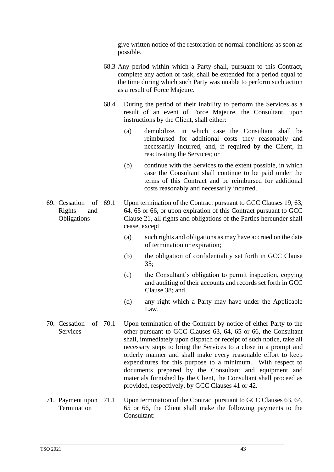give written notice of the restoration of normal conditions as soon as possible.

- 68.3 Any period within which a Party shall, pursuant to this Contract, complete any action or task, shall be extended for a period equal to the time during which such Party was unable to perform such action as a result of Force Majeure.
- 68.4 During the period of their inability to perform the Services as a result of an event of Force Majeure, the Consultant, upon instructions by the Client, shall either:
	- (a) demobilize, in which case the Consultant shall be reimbursed for additional costs they reasonably and necessarily incurred, and, if required by the Client, in reactivating the Services; or
	- (b) continue with the Services to the extent possible, in which case the Consultant shall continue to be paid under the terms of this Contract and be reimbursed for additional costs reasonably and necessarily incurred.
- 69. Cessation of Rights and **Obligations** Upon termination of the Contract pursuant to GCC Clauses 19, 63, 64, 65 or 66, or upon expiration of this Contract pursuant to GCC Clause 21, all rights and obligations of the Parties hereunder shall cease, except
	- of termination or expiration;
	- (b) the obligation of confidentiality set forth in GCC Clause 35;
	- (c) the Consultant's obligation to permit inspection, copying and auditing of their accounts and records set forth in GCC Clause 38; and
	- (d) any right which a Party may have under the Applicable Law.
- 70. Cessation of Services Upon termination of the Contract by notice of either Party to the other pursuant to GCC Clauses 63, 64, 65 or 66, the Consultant shall, immediately upon dispatch or receipt of such notice, take all necessary steps to bring the Services to a close in a prompt and orderly manner and shall make every reasonable effort to keep expenditures for this purpose to a minimum. With respect to documents prepared by the Consultant and equipment and materials furnished by the Client, the Consultant shall proceed as provided, respectively, by GCC Clauses 41 or 42.
- 71. Payment upon **Termination** Upon termination of the Contract pursuant to GCC Clauses 63, 64, 65 or 66, the Client shall make the following payments to the Consultant:

(a) such rights and obligations as may have accrued on the date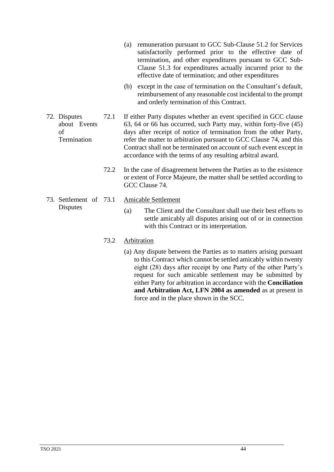- (a) remuneration pursuant to GCC Sub-Clause 51.2 for Services satisfactorily performed prior to the effective date of termination, and other expenditures pursuant to GCC Sub-Clause 51.3 for expenditures actually incurred prior to the effective date of termination; and other expenditures
- (b) except in the case of termination on the Consultant's default, reimbursement of any reasonable cost incidental to the prompt and orderly termination of this Contract.
- 72. Disputes about Events of Termination 72.1 If either Party disputes whether an event specified in GCC clause 63, 64 or 66 has occurred, such Party may, within forty-five (45) days after receipt of notice of termination from the other Party, refer the matter to arbitration pursuant to GCC Clause 74, and this Contract shall not be terminated on account of such event except in accordance with the terms of any resulting arbitral award.
	- 72.2 In the case of disagreement between the Parties as to the existence or extent of Force Majeure, the matter shall be settled according to GCC Clause 74.
- 73. Settlement of **Disputes**
- Amicable Settlement
	- (a) The Client and the Consultant shall use their best efforts to settle amicably all disputes arising out of or in connection with this Contract or its interpretation.

#### 73.2 Arbitration

(a) Any dispute between the Parties as to matters arising pursuant to this Contract which cannot be settled amicably within twenty eight (28) days after receipt by one Party of the other Party's request for such amicable settlement may be submitted by either Party for arbitration in accordance with the **Conciliation and Arbitration Act, LFN 2004 as amended** as at present in force and in the place shown in the SCC.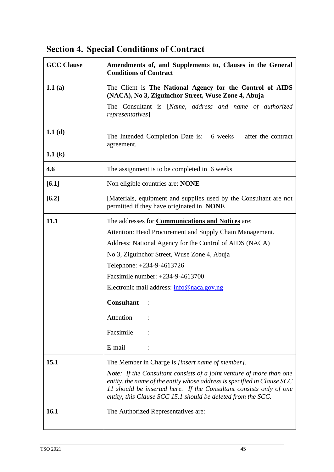# **Section 4. Special Conditions of Contract**

| <b>GCC Clause</b> | Amendments of, and Supplements to, Clauses in the General<br><b>Conditions of Contract</b>                                                                                                                                                                                                   |
|-------------------|----------------------------------------------------------------------------------------------------------------------------------------------------------------------------------------------------------------------------------------------------------------------------------------------|
| 1.1 $(a)$         | The Client is The National Agency for the Control of AIDS<br>(NACA), No 3, Ziguinchor Street, Wuse Zone 4, Abuja                                                                                                                                                                             |
|                   | The Consultant is [Name, address and name of authorized<br>representatives]                                                                                                                                                                                                                  |
| 1.1 $(d)$         | The Intended Completion Date is: 6 weeks<br>after the contract<br>agreement.                                                                                                                                                                                                                 |
| 1.1 $(k)$         |                                                                                                                                                                                                                                                                                              |
| 4.6               | The assignment is to be completed in 6 weeks                                                                                                                                                                                                                                                 |
| $[6.1]$           | Non eligible countries are: NONE                                                                                                                                                                                                                                                             |
| $[6.2]$           | [Materials, equipment and supplies used by the Consultant are not<br>permitted if they have originated in NONE                                                                                                                                                                               |
| 11.1              | The addresses for Communications and Notices are:                                                                                                                                                                                                                                            |
|                   | Attention: Head Procurement and Supply Chain Management.                                                                                                                                                                                                                                     |
|                   | Address: National Agency for the Control of AIDS (NACA)                                                                                                                                                                                                                                      |
|                   | No 3, Ziguinchor Street, Wuse Zone 4, Abuja                                                                                                                                                                                                                                                  |
|                   | Telephone: +234-9-4613726                                                                                                                                                                                                                                                                    |
|                   | Facsimile number: +234-9-4613700                                                                                                                                                                                                                                                             |
|                   | Electronic mail address: info@naca.gov.ng                                                                                                                                                                                                                                                    |
|                   | <b>Consultant</b>                                                                                                                                                                                                                                                                            |
|                   | Attention                                                                                                                                                                                                                                                                                    |
|                   | Facsimile                                                                                                                                                                                                                                                                                    |
|                   | E-mail                                                                                                                                                                                                                                                                                       |
| 15.1              | The Member in Charge is [insert name of member].                                                                                                                                                                                                                                             |
|                   | <b>Note:</b> If the Consultant consists of a joint venture of more than one<br>entity, the name of the entity whose address is specified in Clause SCC<br>11 should be inserted here. If the Consultant consists only of one<br>entity, this Clause SCC 15.1 should be deleted from the SCC. |
| 16.1              | The Authorized Representatives are:                                                                                                                                                                                                                                                          |
|                   |                                                                                                                                                                                                                                                                                              |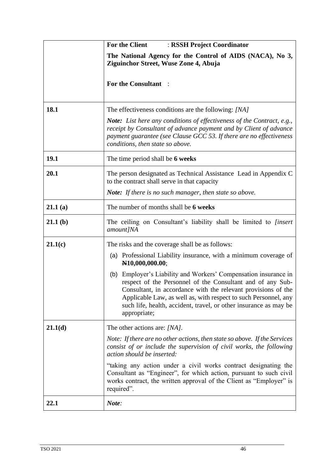|         | For the Client<br>: RSSH Project Coordinator                                                                                                                                                                                                                                                                                                           |  |  |  |  |  |  |  |  |  |
|---------|--------------------------------------------------------------------------------------------------------------------------------------------------------------------------------------------------------------------------------------------------------------------------------------------------------------------------------------------------------|--|--|--|--|--|--|--|--|--|
|         | The National Agency for the Control of AIDS (NACA), No 3,<br>Ziguinchor Street, Wuse Zone 4, Abuja                                                                                                                                                                                                                                                     |  |  |  |  |  |  |  |  |  |
|         | <b>For the Consultant:</b>                                                                                                                                                                                                                                                                                                                             |  |  |  |  |  |  |  |  |  |
| 18.1    | The effectiveness conditions are the following: [NA]                                                                                                                                                                                                                                                                                                   |  |  |  |  |  |  |  |  |  |
|         | <b>Note:</b> List here any conditions of effectiveness of the Contract, e.g.,<br>receipt by Consultant of advance payment and by Client of advance<br>payment guarantee (see Clause GCC 53. If there are no effectiveness<br>conditions, then state so above.                                                                                          |  |  |  |  |  |  |  |  |  |
| 19.1    | The time period shall be 6 weeks                                                                                                                                                                                                                                                                                                                       |  |  |  |  |  |  |  |  |  |
| 20.1    | The person designated as Technical Assistance Lead in Appendix C<br>to the contract shall serve in that capacity                                                                                                                                                                                                                                       |  |  |  |  |  |  |  |  |  |
|         | <b>Note:</b> If there is no such manager, then state so above.                                                                                                                                                                                                                                                                                         |  |  |  |  |  |  |  |  |  |
| 21.1(a) | The number of months shall be 6 weeks                                                                                                                                                                                                                                                                                                                  |  |  |  |  |  |  |  |  |  |
| 21.1(b) | The ceiling on Consultant's liability shall be limited to <i>[insert</i> ]<br>amount]NA                                                                                                                                                                                                                                                                |  |  |  |  |  |  |  |  |  |
| 21.1(c) | The risks and the coverage shall be as follows:                                                                                                                                                                                                                                                                                                        |  |  |  |  |  |  |  |  |  |
|         | (a) Professional Liability insurance, with a minimum coverage of<br>N10,000,000.00;                                                                                                                                                                                                                                                                    |  |  |  |  |  |  |  |  |  |
|         | (b) Employer's Liability and Workers' Compensation insurance in<br>respect of the Personnel of the Consultant and of any Sub-<br>Consultant, in accordance with the relevant provisions of the<br>Applicable Law, as well as, with respect to such Personnel, any<br>such life, health, accident, travel, or other insurance as may be<br>appropriate; |  |  |  |  |  |  |  |  |  |
| 21.1(d) | The other actions are: [NA].                                                                                                                                                                                                                                                                                                                           |  |  |  |  |  |  |  |  |  |
|         | Note: If there are no other actions, then state so above. If the Services<br>consist of or include the supervision of civil works, the following<br>action should be inserted:                                                                                                                                                                         |  |  |  |  |  |  |  |  |  |
|         | "taking any action under a civil works contract designating the<br>Consultant as "Engineer", for which action, pursuant to such civil<br>works contract, the written approval of the Client as "Employer" is<br>required".                                                                                                                             |  |  |  |  |  |  |  |  |  |
| 22.1    | Note:                                                                                                                                                                                                                                                                                                                                                  |  |  |  |  |  |  |  |  |  |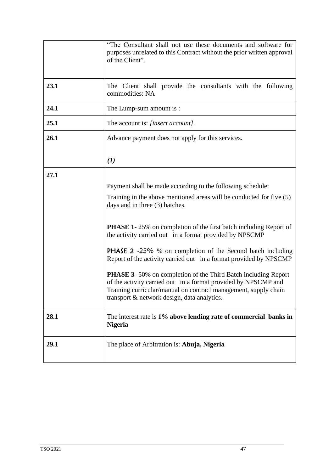|      | "The Consultant shall not use these documents and software for<br>purposes unrelated to this Contract without the prior written approval<br>of the Client".                                                                                                                                                                                                                                                                                                                                                                                                                                                                                                                                                       |
|------|-------------------------------------------------------------------------------------------------------------------------------------------------------------------------------------------------------------------------------------------------------------------------------------------------------------------------------------------------------------------------------------------------------------------------------------------------------------------------------------------------------------------------------------------------------------------------------------------------------------------------------------------------------------------------------------------------------------------|
| 23.1 | The Client shall provide the consultants with the following<br>commodities: NA                                                                                                                                                                                                                                                                                                                                                                                                                                                                                                                                                                                                                                    |
| 24.1 | The Lump-sum amount is :                                                                                                                                                                                                                                                                                                                                                                                                                                                                                                                                                                                                                                                                                          |
| 25.1 | The account is: [insert account].                                                                                                                                                                                                                                                                                                                                                                                                                                                                                                                                                                                                                                                                                 |
| 26.1 | Advance payment does not apply for this services.                                                                                                                                                                                                                                                                                                                                                                                                                                                                                                                                                                                                                                                                 |
|      | (1)                                                                                                                                                                                                                                                                                                                                                                                                                                                                                                                                                                                                                                                                                                               |
| 27.1 | Payment shall be made according to the following schedule:<br>Training in the above mentioned areas will be conducted for five (5)<br>days and in three (3) batches.<br><b>PHASE 1-25%</b> on completion of the first batch including Report of<br>the activity carried out in a format provided by NPSCMP<br><b>PHASE 2</b> -25% % on completion of the Second batch including<br>Report of the activity carried out in a format provided by NPSCMP<br><b>PHASE 3-</b> 50% on completion of the Third Batch including Report<br>of the activity carried out in a format provided by NPSCMP and<br>Training curricular/manual on contract management, supply chain<br>transport & network design, data analytics. |
| 28.1 | The interest rate is 1% above lending rate of commercial banks in<br><b>Nigeria</b>                                                                                                                                                                                                                                                                                                                                                                                                                                                                                                                                                                                                                               |
| 29.1 | The place of Arbitration is: Abuja, Nigeria                                                                                                                                                                                                                                                                                                                                                                                                                                                                                                                                                                                                                                                                       |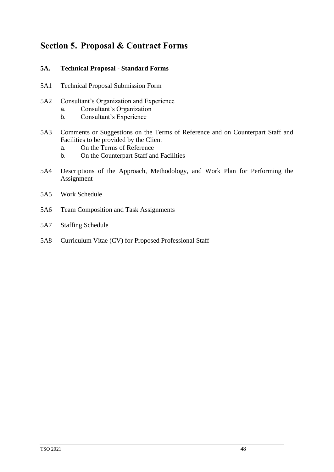# **Section 5. Proposal & Contract Forms**

#### **5A. Technical Proposal - Standard Forms**

- 5A1 Technical Proposal Submission Form
- 5A2 Consultant's Organization and Experience
	- a. Consultant's Organization
	- b. Consultant's Experience
- 5A3 Comments or Suggestions on the Terms of Reference and on Counterpart Staff and Facilities to be provided by the Client
	- a. On the Terms of Reference
	- b. On the Counterpart Staff and Facilities
- 5A4 Descriptions of the Approach, Methodology, and Work Plan for Performing the Assignment
- 5A5 Work Schedule
- 5A6 Team Composition and Task Assignments
- 5A7 Staffing Schedule
- 5A8 Curriculum Vitae (CV) for Proposed Professional Staff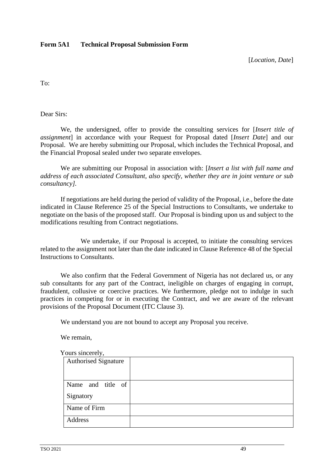#### **Form 5A1 Technical Proposal Submission Form**

[*Location, Date*]

To:

Dear Sirs:

We, the undersigned, offer to provide the consulting services for [*Insert title of assignment*] in accordance with your Request for Proposal dated [*Insert Date*] and our Proposal. We are hereby submitting our Proposal, which includes the Technical Proposal, and the Financial Proposal sealed under two separate envelopes.

We are submitting our Proposal in association with: [*Insert a list with full name and address of each associated Consultant, also specify, whether they are in joint venture or sub consultancy].*

If negotiations are held during the period of validity of the Proposal, i.e., before the date indicated in Clause Reference 25 of the Special Instructions to Consultants, we undertake to negotiate on the basis of the proposed staff. Our Proposal is binding upon us and subject to the modifications resulting from Contract negotiations.

We undertake, if our Proposal is accepted, to initiate the consulting services related to the assignment not later than the date indicated in Clause Reference 48 of the Special Instructions to Consultants.

We also confirm that the Federal Government of Nigeria has not declared us, or any sub consultants for any part of the Contract, ineligible on charges of engaging in corrupt, fraudulent, collusive or coercive practices. We furthermore, pledge not to indulge in such practices in competing for or in executing the Contract, and we are aware of the relevant provisions of the Proposal Document (ITC Clause 3).

We understand you are not bound to accept any Proposal you receive.

We remain,

| ours sincerely,             |  |
|-----------------------------|--|
| <b>Authorised Signature</b> |  |
|                             |  |
| Name and title of           |  |
| Signatory                   |  |
| Name of Firm                |  |
| Address                     |  |

 $Y<sub>0</sub>$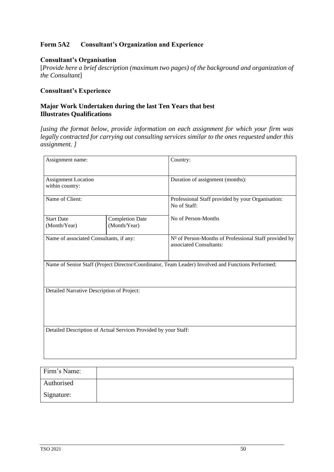#### **Form 5A2 Consultant's Organization and Experience**

#### **Consultant's Organisation**

[*Provide here a brief description (maximum two pages) of the background and organization of the Consultant*]

# **Consultant's Experience**

#### **Major Work Undertaken during the last Ten Years that best Illustrates Qualifications**

*[using the format below, provide information on each assignment for which your firm was legally contracted for carrying out consulting services similar to the ones requested under this assignment. ]*

| Assignment name:                                                |                                        | Country:                                                                                           |  |  |  |  |  |  |
|-----------------------------------------------------------------|----------------------------------------|----------------------------------------------------------------------------------------------------|--|--|--|--|--|--|
| <b>Assignment Location</b><br>within country:                   |                                        | Duration of assignment (months):                                                                   |  |  |  |  |  |  |
| Name of Client:                                                 |                                        | Professional Staff provided by your Organisation:<br>No of Staff:                                  |  |  |  |  |  |  |
| <b>Start Date</b><br>(Month/Year)                               | <b>Completion Date</b><br>(Month/Year) | No of Person-Months                                                                                |  |  |  |  |  |  |
| Name of associated Consultants, if any:                         |                                        | Nº of Person-Months of Professional Staff provided by<br>associated Consultants:                   |  |  |  |  |  |  |
|                                                                 |                                        | Name of Senior Staff (Project Director/Coordinator, Team Leader) Involved and Functions Performed: |  |  |  |  |  |  |
| Detailed Narrative Description of Project:                      |                                        |                                                                                                    |  |  |  |  |  |  |
| Detailed Description of Actual Services Provided by your Staff: |                                        |                                                                                                    |  |  |  |  |  |  |

| Firm's Name: |  |
|--------------|--|
| Authorised   |  |
| Signature:   |  |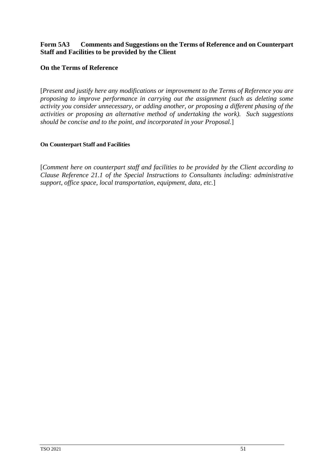#### **Form 5A3 Comments and Suggestions on the Terms of Reference and on Counterpart Staff and Facilities to be provided by the Client**

#### **On the Terms of Reference**

[*Present and justify here any modifications or improvement to the Terms of Reference you are proposing to improve performance in carrying out the assignment (such as deleting some activity you consider unnecessary, or adding another, or proposing a different phasing of the activities or proposing an alternative method of undertaking the work). Such suggestions should be concise and to the point, and incorporated in your Proposal.*]

#### **On Counterpart Staff and Facilities**

[*Comment here on counterpart staff and facilities to be provided by the Client according to Clause Reference 21.1 of the Special Instructions to Consultants including: administrative support, office space, local transportation, equipment, data, etc.*]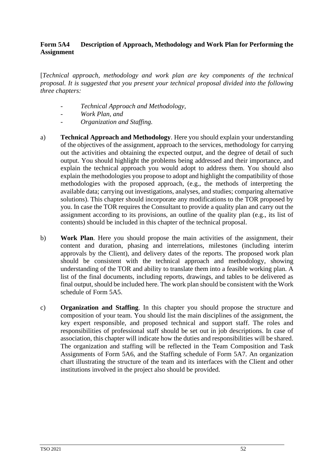#### **Form 5A4 Description of Approach, Methodology and Work Plan for Performing the Assignment**

[*Technical approach, methodology and work plan are key components of the technical proposal. It is suggested that you present your technical proposal divided into the following three chapters:*

- *- Technical Approach and Methodology,*
- *- Work Plan, and*
- *- Organization and Staffing.*
- a) **Technical Approach and Methodology**. Here you should explain your understanding of the objectives of the assignment, approach to the services, methodology for carrying out the activities and obtaining the expected output, and the degree of detail of such output. You should highlight the problems being addressed and their importance, and explain the technical approach you would adopt to address them. You should also explain the methodologies you propose to adopt and highlight the compatibility of those methodologies with the proposed approach, (e.g., the methods of interpreting the available data; carrying out investigations, analyses, and studies; comparing alternative solutions). This chapter should incorporate any modifications to the TOR proposed by you. In case the TOR requires the Consultant to provide a quality plan and carry out the assignment according to its provisions, an outline of the quality plan (e.g., its list of contents) should be included in this chapter of the technical proposal.
- b) **Work Plan**. Here you should propose the main activities of the assignment, their content and duration, phasing and interrelations, milestones (including interim approvals by the Client), and delivery dates of the reports. The proposed work plan should be consistent with the technical approach and methodology, showing understanding of the TOR and ability to translate them into a feasible working plan. A list of the final documents, including reports, drawings, and tables to be delivered as final output, should be included here. The work plan should be consistent with the Work schedule of Form 5A5.
- c) **Organization and Staffing**. In this chapter you should propose the structure and composition of your team. You should list the main disciplines of the assignment, the key expert responsible, and proposed technical and support staff. The roles and responsibilities of professional staff should be set out in job descriptions. In case of association, this chapter will indicate how the duties and responsibilities will be shared. The organization and staffing will be reflected in the Team Composition and Task Assignments of Form 5A6, and the Staffing schedule of Form 5A7. An organization chart illustrating the structure of the team and its interfaces with the Client and other institutions involved in the project also should be provided.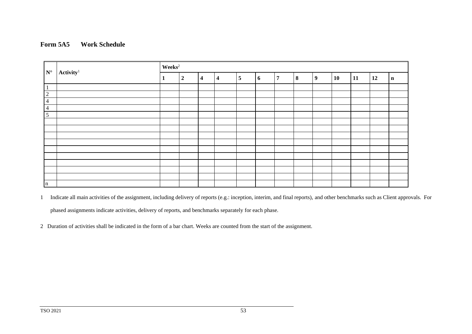#### **Form 5A5 Work Schedule**

|                      |                       | $\mathbf{Weeks}^2$ |                  |                         |                         |   |   |                |   |   |           |    |    |             |
|----------------------|-----------------------|--------------------|------------------|-------------------------|-------------------------|---|---|----------------|---|---|-----------|----|----|-------------|
| $\mathbf{N}^{\circ}$ | $\mathbf{Activity}^1$ |                    | $\boldsymbol{2}$ | $\overline{\mathbf{4}}$ | $\overline{\mathbf{4}}$ | 5 | 6 | $\overline{ }$ | 8 | 9 | <b>10</b> | 11 | 12 | $\mathbf n$ |
| $\vert$ 1            |                       |                    |                  |                         |                         |   |   |                |   |   |           |    |    |             |
| $\overline{2}$       |                       |                    |                  |                         |                         |   |   |                |   |   |           |    |    |             |
| $\overline{4}$       |                       |                    |                  |                         |                         |   |   |                |   |   |           |    |    |             |
| $\overline{4}$       |                       |                    |                  |                         |                         |   |   |                |   |   |           |    |    |             |
| $5\overline{)}$      |                       |                    |                  |                         |                         |   |   |                |   |   |           |    |    |             |
|                      |                       |                    |                  |                         |                         |   |   |                |   |   |           |    |    |             |
|                      |                       |                    |                  |                         |                         |   |   |                |   |   |           |    |    |             |
|                      |                       |                    |                  |                         |                         |   |   |                |   |   |           |    |    |             |
|                      |                       |                    |                  |                         |                         |   |   |                |   |   |           |    |    |             |
|                      |                       |                    |                  |                         |                         |   |   |                |   |   |           |    |    |             |
|                      |                       |                    |                  |                         |                         |   |   |                |   |   |           |    |    |             |
|                      |                       |                    |                  |                         |                         |   |   |                |   |   |           |    |    |             |
|                      |                       |                    |                  |                         |                         |   |   |                |   |   |           |    |    |             |
|                      |                       |                    |                  |                         |                         |   |   |                |   |   |           |    |    |             |
| $\ln$                |                       |                    |                  |                         |                         |   |   |                |   |   |           |    |    |             |

1 Indicate all main activities of the assignment, including delivery of reports (e.g.: inception, interim, and final reports), and other benchmarks such as Client approvals. For phased assignments indicate activities, delivery of reports, and benchmarks separately for each phase.

2 Duration of activities shall be indicated in the form of a bar chart. Weeks are counted from the start of the assignment.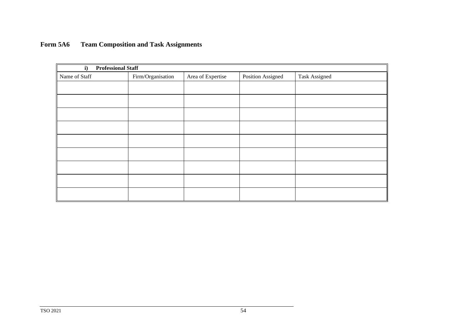# **Form 5A6 Team Composition and Task Assignments**

| <b>Professional Staff</b><br>i) |                   |                   |                   |                      |
|---------------------------------|-------------------|-------------------|-------------------|----------------------|
| Name of Staff                   | Firm/Organisation | Area of Expertise | Position Assigned | <b>Task Assigned</b> |
|                                 |                   |                   |                   |                      |
|                                 |                   |                   |                   |                      |
|                                 |                   |                   |                   |                      |
|                                 |                   |                   |                   |                      |
|                                 |                   |                   |                   |                      |
|                                 |                   |                   |                   |                      |
|                                 |                   |                   |                   |                      |
|                                 |                   |                   |                   |                      |
|                                 |                   |                   |                   |                      |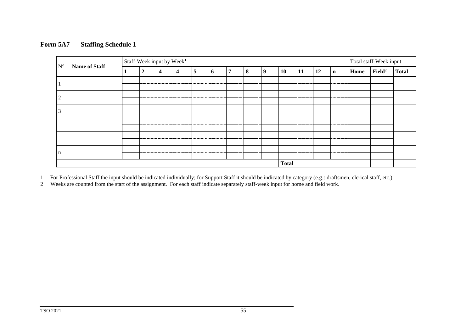#### **Form 5A7 Staffing Schedule 1**

|                      | Name of Staff | Staff-Week input by Week <sup>1</sup> |               |                          |                         |   |                |   |           |              |    |            |    |             | Total staff-Week input |                    |              |
|----------------------|---------------|---------------------------------------|---------------|--------------------------|-------------------------|---|----------------|---|-----------|--------------|----|------------|----|-------------|------------------------|--------------------|--------------|
| $\mathbf{N}^{\circ}$ |               |                                       | 2             | 4                        | 4                       | 5 | $\mathbf b$    | − | 8         | 9            | 10 | 11         | 12 | $\mathbf n$ | <b>Home</b>            | $\mathbf{Field}^2$ | <b>Total</b> |
|                      |               |                                       |               |                          |                         |   |                |   |           |              |    | ---------- |    |             |                        |                    |              |
| $\overline{2}$       |               |                                       | -----------   |                          | ----------              |   |                |   |           |              |    |            |    | --------    |                        |                    |              |
| 3                    |               |                                       |               |                          |                         |   |                |   | --------- |              |    | ---------  |    | ---------   |                        |                    |              |
|                      |               |                                       | ------------- | .                        | ----------              | . |                |   |           |              |    |            |    | --------    |                        |                    |              |
|                      |               |                                       |               | ------------------------ | ----------------------- |   | -------------- |   |           |              |    |            |    |             |                        |                    |              |
| n                    |               |                                       |               |                          |                         |   |                |   |           |              |    |            |    | .           |                        |                    |              |
|                      |               |                                       |               |                          |                         |   |                |   |           | <b>Total</b> |    |            |    |             |                        |                    |              |

1 For Professional Staff the input should be indicated individually; for Support Staff it should be indicated by category (e.g.: draftsmen, clerical staff, etc.).

2 Weeks are counted from the start of the assignment. For each staff indicate separately staff-week input for home and field work.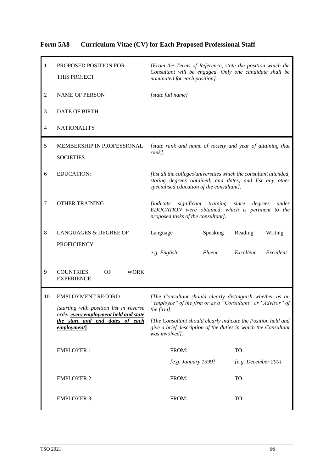| Form 5A8 |  |  | <b>Curriculum Vitae (CV) for Each Proposed Professional Staff</b> |
|----------|--|--|-------------------------------------------------------------------|
|          |  |  |                                                                   |

| 1  | PROPOSED POSITION FOR<br>THIS PROJECT                                    | [From the Terms of Reference, state the position which the<br>Consultant will be engaged. Only one candidate shall be<br>nominated for each position].                     |          |                     |           |  |
|----|--------------------------------------------------------------------------|----------------------------------------------------------------------------------------------------------------------------------------------------------------------------|----------|---------------------|-----------|--|
| 2  | <b>NAME OF PERSON</b>                                                    | [state full name]                                                                                                                                                          |          |                     |           |  |
| 3  | DATE OF BIRTH                                                            |                                                                                                                                                                            |          |                     |           |  |
| 4  | <b>NATIONALITY</b>                                                       |                                                                                                                                                                            |          |                     |           |  |
| 5  | MEMBERSHIP IN PROFESSIONAL<br><b>SOCIETIES</b>                           | [state rank and name of society and year of attaining that<br>rank].                                                                                                       |          |                     |           |  |
| 6  | <b>EDUCATION:</b>                                                        | [list all the colleges/universities which the consultant attended,<br>stating degrees obtained, and dates, and list any other<br>specialised education of the consultant]. |          |                     |           |  |
| 7  | <b>OTHER TRAINING</b>                                                    | <i>lindicate</i><br>significant training<br>since<br>degrees<br>under<br>EDUCATION were obtained, which is pertinent to the<br>proposed tasks of the consultant].          |          |                     |           |  |
| 8  | LANGUAGES & DEGREE OF                                                    | Language                                                                                                                                                                   | Speaking | Reading             | Writing   |  |
|    | <b>PROFICIENCY</b>                                                       |                                                                                                                                                                            |          |                     |           |  |
|    |                                                                          | e.g. English                                                                                                                                                               | Fluent   | Excellent           | Excellent |  |
| 9  | <b>COUNTRIES</b><br>OF<br><b>WORK</b><br><b>EXPERIENCE</b>               |                                                                                                                                                                            |          |                     |           |  |
| 10 | <b>EMPLOYMENT RECORD</b>                                                 | [The Consultant should clearly distinguish whether as an                                                                                                                   |          |                     |           |  |
|    | <i>Istarting with position list in reverse</i>                           | "employee" of the firm or as a "Consultant" or "Advisor" of<br>the firm].                                                                                                  |          |                     |           |  |
|    | order every employment held and state<br>the start and end dates of each | [The Consultant should clearly indicate the Position held and                                                                                                              |          |                     |           |  |
|    | employment]                                                              | give a brief description of the duties in which the Consultant<br>was involved].                                                                                           |          |                     |           |  |
|    | <b>EMPLOYER 1</b>                                                        | FROM:                                                                                                                                                                      |          | TO:                 |           |  |
|    |                                                                          | [e.g. January 1999]                                                                                                                                                        |          | [e.g. December 2001 |           |  |
|    | <b>EMPLOYER 2</b>                                                        | FROM:                                                                                                                                                                      |          | TO:                 |           |  |
|    | <b>EMPLOYER 3</b>                                                        | FROM:                                                                                                                                                                      |          | TO:                 |           |  |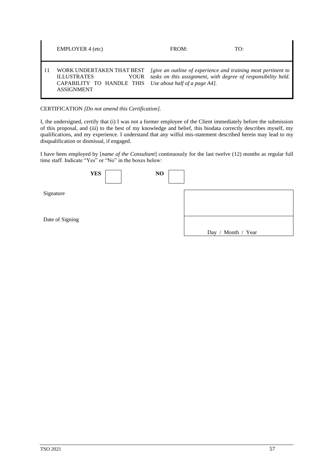| <b>EMPLOYER 4 (etc)</b>                                                                                                                                                                               | FROM: | TO:                                                           |
|-------------------------------------------------------------------------------------------------------------------------------------------------------------------------------------------------------|-------|---------------------------------------------------------------|
| WORK UNDERTAKEN THAT BEST [give an outline of experience and training most pertinent to<br><b>ILLUSTRATES</b><br>YOUR<br>CAPABILITY TO HANDLE THIS Use about half of a page A4].<br><b>ASSIGNMENT</b> |       | tasks on this assignment, with degree of responsibility held. |

CERTIFICATION *[Do not amend this Certification].*

I, the undersigned, certify that (i) I was not a former employee of the Client immediately before the submission of this proposal, and (iii) to the best of my knowledge and belief, this biodata correctly describes myself, my qualifications, and my experience. I understand that any wilful mis-statement described herein may lead to my disqualification or dismissal, if engaged.

I have been employed by [*name of the Consultant*] continuously for the last twelve (12) months as regular full time staff. Indicate "Yes" or "No" in the boxes below:

|                 | <b>YES</b> | NO |                           |
|-----------------|------------|----|---------------------------|
| Signature       |            |    |                           |
| Date of Signing |            |    | / Month / Year<br>Day $/$ |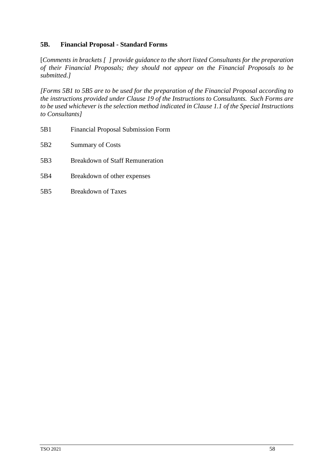#### **5B. Financial Proposal - Standard Forms**

[*Comments in brackets [ ] provide guidance to the short listed Consultants for the preparation of their Financial Proposals; they should not appear on the Financial Proposals to be submitted.]*

*[Forms 5B1 to 5B5 are to be used for the preparation of the Financial Proposal according to the instructions provided under Clause 19 of the Instructions to Consultants. Such Forms are to be used whichever is the selection method indicated in Clause 1.1 of the Special Instructions to Consultants]*

5B1 Financial Proposal Submission Form 5B2 Summary of Costs 5B3 Breakdown of Staff Remuneration 5B4 Breakdown of other expenses 5B5 Breakdown of Taxes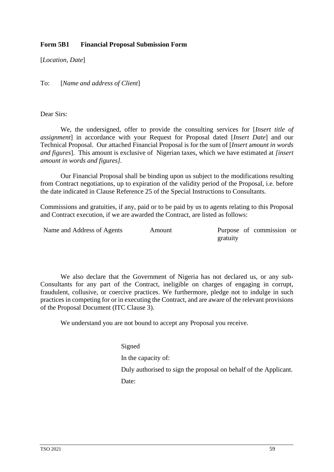#### **Form 5B1 Financial Proposal Submission Form**

[*Location, Date*]

To: [*Name and address of Client*]

Dear Sirs:

We, the undersigned, offer to provide the consulting services for [*Insert title of assignment*] in accordance with your Request for Proposal dated [*Insert Date*] and our Technical Proposal. Our attached Financial Proposal is for the sum of [*Insert* a*mount in words and figures*]. This amount is exclusive of Nigerian taxes, which we have estimated at *[insert amount in words and figures].*

Our Financial Proposal shall be binding upon us subject to the modifications resulting from Contract negotiations, up to expiration of the validity period of the Proposal, i.e. before the date indicated in Clause Reference 25 of the Special Instructions to Consultants.

Commissions and gratuities, if any, paid or to be paid by us to agents relating to this Proposal and Contract execution, if we are awarded the Contract, are listed as follows:

| Name and Address of Agents | Amount |          | Purpose of commission or |  |
|----------------------------|--------|----------|--------------------------|--|
|                            |        | gratuity |                          |  |

We also declare that the Government of Nigeria has not declared us, or any sub-Consultants for any part of the Contract, ineligible on charges of engaging in corrupt, fraudulent, collusive, or coercive practices. We furthermore, pledge not to indulge in such practices in competing for or in executing the Contract, and are aware of the relevant provisions of the Proposal Document (ITC Clause 3).

We understand you are not bound to accept any Proposal you receive.

Signed

In the capacity of:

Duly authorised to sign the proposal on behalf of the Applicant.

Date: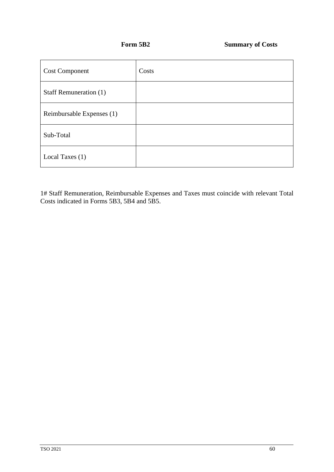| <b>Cost Component</b>     | Costs |
|---------------------------|-------|
| Staff Remuneration (1)    |       |
| Reimbursable Expenses (1) |       |
| Sub-Total                 |       |
| Local Taxes (1)           |       |

1# Staff Remuneration, Reimbursable Expenses and Taxes must coincide with relevant Total Costs indicated in Forms 5B3, 5B4 and 5B5.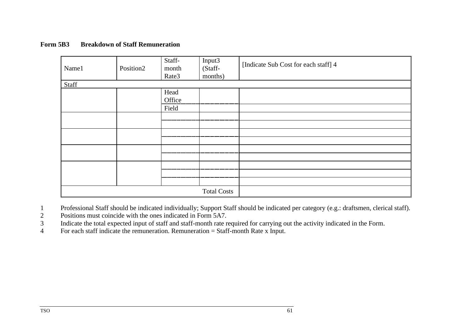#### **Form 5B3 Breakdown of Staff Remuneration**

| Name1 | Position2 | Staff-<br>month<br>Rate3 | Input3<br>(Staff-<br>months) | [Indicate Sub Cost for each staff] 4 |
|-------|-----------|--------------------------|------------------------------|--------------------------------------|
|       |           |                          |                              |                                      |
| Staff |           |                          |                              |                                      |
|       |           | Head                     |                              |                                      |
|       |           | Office                   |                              |                                      |
|       |           | Field                    |                              |                                      |
|       |           |                          |                              |                                      |
|       |           |                          |                              |                                      |
|       |           |                          |                              |                                      |
|       |           |                          |                              |                                      |
|       |           |                          |                              |                                      |
|       |           |                          |                              |                                      |
|       |           |                          |                              |                                      |
|       |           |                          |                              |                                      |
|       |           |                          |                              |                                      |
|       |           |                          | <b>Total Costs</b>           |                                      |

1 Professional Staff should be indicated individually; Support Staff should be indicated per category (e.g.: draftsmen, clerical staff).<br>2 Positions must coincide with the ones indicated in Form 5A7.

2 Positions must coincide with the ones indicated in Form 5A7.<br>3 Indicate the total expected input of staff and staff-month rate r

3 Indicate the total expected input of staff and staff-month rate required for carrying out the activity indicated in the Form.

4 For each staff indicate the remuneration. Remuneration = Staff-month Rate x Input.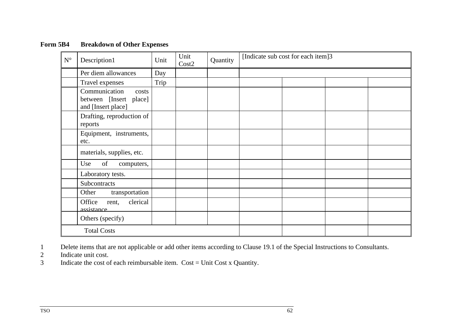| $\mathbf{N}^{\circ}$ | Description1                                                           | Unit | Unit<br>Cost2 | Quantity | [Indicate sub cost for each item]3 |  |  |  |
|----------------------|------------------------------------------------------------------------|------|---------------|----------|------------------------------------|--|--|--|
|                      | Per diem allowances                                                    | Day  |               |          |                                    |  |  |  |
|                      | Travel expenses                                                        | Trip |               |          |                                    |  |  |  |
|                      | Communication<br>costs<br>between [Insert place]<br>and [Insert place] |      |               |          |                                    |  |  |  |
|                      | Drafting, reproduction of<br>reports                                   |      |               |          |                                    |  |  |  |
|                      | Equipment, instruments,<br>etc.                                        |      |               |          |                                    |  |  |  |
|                      | materials, supplies, etc.                                              |      |               |          |                                    |  |  |  |
|                      | of<br>Use<br>computers,                                                |      |               |          |                                    |  |  |  |
|                      | Laboratory tests.                                                      |      |               |          |                                    |  |  |  |
|                      | Subcontracts                                                           |      |               |          |                                    |  |  |  |
|                      | transportation<br>Other                                                |      |               |          |                                    |  |  |  |
|                      | clerical<br>Office<br>rent,<br>assistance                              |      |               |          |                                    |  |  |  |
|                      | Others (specify)                                                       |      |               |          |                                    |  |  |  |
|                      | <b>Total Costs</b>                                                     |      |               |          |                                    |  |  |  |

### **Form 5B4 Breakdown of Other Expenses**

1 Delete items that are not applicable or add other items according to Clause 19.1 of the Special Instructions to Consultants.<br>1 Indicate unit cost.<br>1 Indicate the cost of each reimbursable item. Cost = Unit Cost x Quantit

Indicate unit cost.

Indicate the cost of each reimbursable item.  $Cost = Unit Cost x$  Quantity.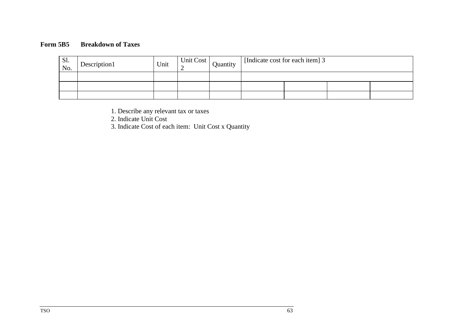# **Form 5B5 Breakdown of Taxes**

| Sl.<br>No. | Description1 | Unit | Unit Cost | Quantity | [Indicate cost for each item] 3 |  |  |  |  |
|------------|--------------|------|-----------|----------|---------------------------------|--|--|--|--|
|            |              |      |           |          |                                 |  |  |  |  |
|            |              |      |           |          |                                 |  |  |  |  |
|            |              |      |           |          |                                 |  |  |  |  |

1. Describe any relevant tax or taxes

2. Indicate Unit Cost

3. Indicate Cost of each item: Unit Cost x Quantity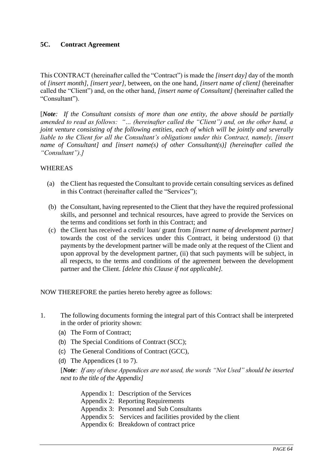### **5C. Contract Agreement**

This CONTRACT (hereinafter called the "Contract") is made the *[insert day]* day of the month of *[insert month]*, *[insert year]*, between, on the one hand, *[insert name of client]* (hereinafter called the "Client") and, on the other hand, *[insert name of Consultant]* (hereinafter called the "Consultant").

[*Note: If the Consultant consists of more than one entity, the above should be partially amended to read as follows: "… (hereinafter called the "Client") and, on the other hand, a joint venture consisting of the following entities, each of which will be jointly and severally liable to the Client for all the Consultant's obligations under this Contract, namely, [insert name of Consultant] and [insert name(s) of other Consultant(s)] (hereinafter called the "Consultant").]*

### WHEREAS

- (a) the Client has requested the Consultant to provide certain consulting services as defined in this Contract (hereinafter called the "Services");
- (b) the Consultant, having represented to the Client that they have the required professional skills, and personnel and technical resources, have agreed to provide the Services on the terms and conditions set forth in this Contract; and
- (c) the Client has received a credit/ loan/ grant from *[insert name of development partner]* towards the cost of the services under this Contract, it being understood (i) that payments by the development partner will be made only at the request of the Client and upon approval by the development partner, (ii) that such payments will be subject, in all respects, to the terms and conditions of the agreement between the development partner and the Client. *[delete this Clause if not applicable].*

NOW THEREFORE the parties hereto hereby agree as follows:

- 1. The following documents forming the integral part of this Contract shall be interpreted in the order of priority shown:
	- (a) The Form of Contract;
	- (b) The Special Conditions of Contract (SCC);
	- (c) The General Conditions of Contract (GCC),
	- (d) The Appendices (1 to 7).

[*Note: If any of these Appendices are not used, the words "Not Used" should be inserted next to the title of the Appendix]*

Appendix 1: Description of the Services Appendix 2: Reporting Requirements Appendix 3: Personnel and Sub Consultants Appendix 5: Services and facilities provided by the client Appendix 6: Breakdown of contract price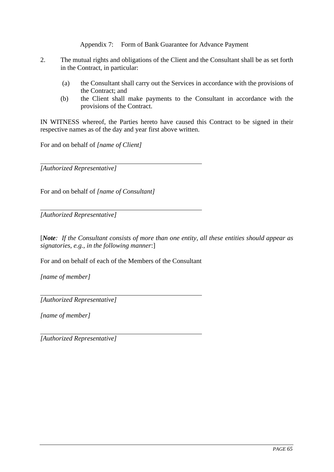Appendix 7: Form of Bank Guarantee for Advance Payment

- 2. The mutual rights and obligations of the Client and the Consultant shall be as set forth in the Contract, in particular:
	- (a) the Consultant shall carry out the Services in accordance with the provisions of the Contract; and
	- (b) the Client shall make payments to the Consultant in accordance with the provisions of the Contract.

IN WITNESS whereof, the Parties hereto have caused this Contract to be signed in their respective names as of the day and year first above written.

For and on behalf of *[name of Client]*

*[Authorized Representative]*

For and on behalf of *[name of Consultant]*

*[Authorized Representative]*

[*Note: If the Consultant consists of more than one entity, all these entities should appear as signatories, e.g., in the following manner*:]

For and on behalf of each of the Members of the Consultant

*[name of member]*

*[Authorized Representative]*

*[name of member]*

*[Authorized Representative]*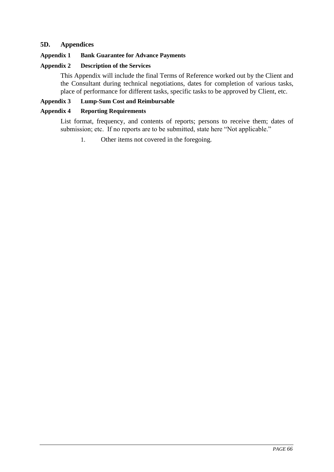### **5D. Appendices**

#### **Appendix 1 Bank Guarantee for Advance Payments**

# **Appendix 2 Description of the Services**

This Appendix will include the final Terms of Reference worked out by the Client and the Consultant during technical negotiations, dates for completion of various tasks, place of performance for different tasks, specific tasks to be approved by Client, etc.

### **Appendix 3 Lump-Sum Cost and Reimbursable**

#### **Appendix 4 Reporting Requirements**

List format, frequency, and contents of reports; persons to receive them; dates of submission; etc. If no reports are to be submitted, state here "Not applicable."

1. Other items not covered in the foregoing*.*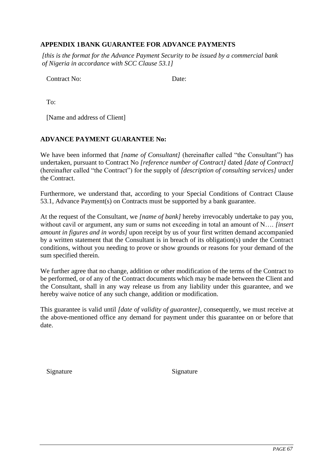# **APPENDIX 1BANK GUARANTEE FOR ADVANCE PAYMENTS**

*[this is the format for the Advance Payment Security to be issued by a commercial bank of Nigeria in accordance with SCC Clause 53.1]*

Contract No: Date:

To:

[Name and address of Client]

### **ADVANCE PAYMENT GUARANTEE No:**

We have been informed that *[name of Consultant]* (hereinafter called "the Consultant") has undertaken, pursuant to Contract No *[reference number of Contract]* dated *[date of Contract]* (hereinafter called "the Contract") for the supply of *[description of consulting services]* under the Contract.

Furthermore, we understand that, according to your Special Conditions of Contract Clause 53.1, Advance Payment(s) on Contracts must be supported by a bank guarantee.

At the request of the Consultant, we *[name of bank]* hereby irrevocably undertake to pay you, without cavil or argument, any sum or sums not exceeding in total an amount of N…. *[insert amount in figures and in words]* upon receipt by us of your first written demand accompanied by a written statement that the Consultant is in breach of its obligation(s) under the Contract conditions, without you needing to prove or show grounds or reasons for your demand of the sum specified therein.

We further agree that no change, addition or other modification of the terms of the Contract to be performed, or of any of the Contract documents which may be made between the Client and the Consultant, shall in any way release us from any liability under this guarantee, and we hereby waive notice of any such change, addition or modification.

This guarantee is valid until *[date of validity of guarantee]*, consequently, we must receive at the above-mentioned office any demand for payment under this guarantee on or before that date.

Signature Signature Signature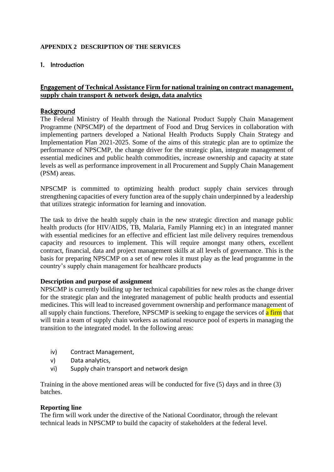### **APPENDIX 2 DESCRIPTION OF THE SERVICES**

### 1. Introduction

## Engagement of **Technical Assistance Firm for national training on contract management, supply chain transport & network design, data analytics**

### Background

The Federal Ministry of Health through the National Product Supply Chain Management Programme (NPSCMP) of the department of Food and Drug Services in collaboration with implementing partners developed a National Health Products Supply Chain Strategy and Implementation Plan 2021-2025. Some of the aims of this strategic plan are to optimize the performance of NPSCMP, the change driver for the strategic plan, integrate management of essential medicines and public health commodities, increase ownership and capacity at state levels as well as performance improvement in all Procurement and Supply Chain Management (PSM) areas.

NPSCMP is committed to optimizing health product supply chain services through strengthening capacities of every function area of the supply chain underpinned by a leadership that utilizes strategic information for learning and innovation.

The task to drive the health supply chain in the new strategic direction and manage public health products (for HIV/AIDS, TB, Malaria, Family Planning etc) in an integrated manner with essential medicines for an effective and efficient last mile delivery requires tremendous capacity and resources to implement. This will require amongst many others, excellent contract, financial, data and project management skills at all levels of governance. This is the basis for preparing NPSCMP on a set of new roles it must play as the lead programme in the country's supply chain management for healthcare products

#### **Description and purpose of assignment**

NPSCMP is currently building up her technical capabilities for new roles as the change driver for the strategic plan and the integrated management of public health products and essential medicines. This will lead to increased government ownership and performance management of all supply chain functions. Therefore, NPSCMP is seeking to engage the services of a firm that will train a team of supply chain workers as national resource pool of experts in managing the transition to the integrated model. In the following areas:

- iv) Contract Management,
- v) Data analytics,
- vi) Supply chain transport and network design

Training in the above mentioned areas will be conducted for five (5) days and in three (3) batches.

#### **Reporting line**

The firm will work under the directive of the National Coordinator, through the relevant technical leads in NPSCMP to build the capacity of stakeholders at the federal level.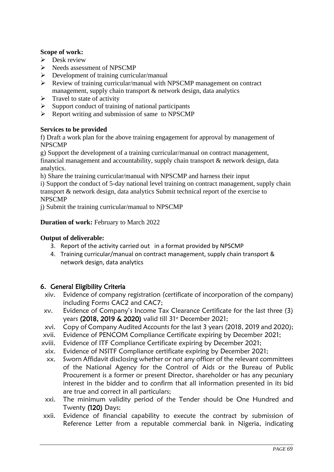### **Scope of work:**

- $\triangleright$  Desk review
- ➢ Needs assessment of NPSCMP
- ➢ Development of training curricular/manual
- ➢ Review of training curricular/manual with NPSCMP management on contract management, supply chain transport & network design, data analytics
- $\triangleright$  Travel to state of activity
- $\triangleright$  Support conduct of training of national participants
- ➢ Report writing and submission of same to NPSCMP

#### **Services to be provided**

f) Draft a work plan for the above training engagement for approval by management of NPSCMP

g) Support the development of a training curricular/manual on contract management, financial management and accountability, supply chain transport & network design, data analytics.

h) Share the training curricular/manual with NPSCMP and harness their input

i) Support the conduct of 5-day national level training on contract management, supply chain transport & network design, data analytics Submit technical report of the exercise to NPSCMP

j) Submit the training curricular/manual to NPSCMP

### **Duration of work: February to March 2022**

#### **Output of deliverable:**

- 3. Report of the activity carried out in a format provided by NPSCMP
- 4. Training curricular/manual on contract management, supply chain transport & network design, data analytics

## 6. General Eligibility Criteria

- xiv. Evidence of company registration (certificate of incorporation of the company) including Forms CAC2 and CAC7;
- xv. Evidence of Company's Income Tax Clearance Certificate for the last three (3) years (2018, 2019 & 2020) valid till 31<sup>st</sup> December 2021;
- xvi. Copy of Company Audited Accounts for the last 3 years (2018, 2019 and 2020);
- xvii. Evidence of PENCOM Compliance Certificate expiring by December 2021;
- xviii. Evidence of ITF Compliance Certificate expiring by December 2021;
- xix. Evidence of NSITF Compliance certificate expiring by December 2021;
- xx. Sworn Affidavit disclosing whether or not any officer of the relevant committees of the National Agency for the Control of Aids or the Bureau of Public Procurement is a former or present Director, shareholder or has any pecuniary interest in the bidder and to confirm that all information presented in its bid are true and correct in all particulars;
- xxi. The minimum validity period of the Tender should be One Hundred and Twenty (120) Days;
- xxii. Evidence of financial capability to execute the contract by submission of Reference Letter from a reputable commercial bank in Nigeria, indicating